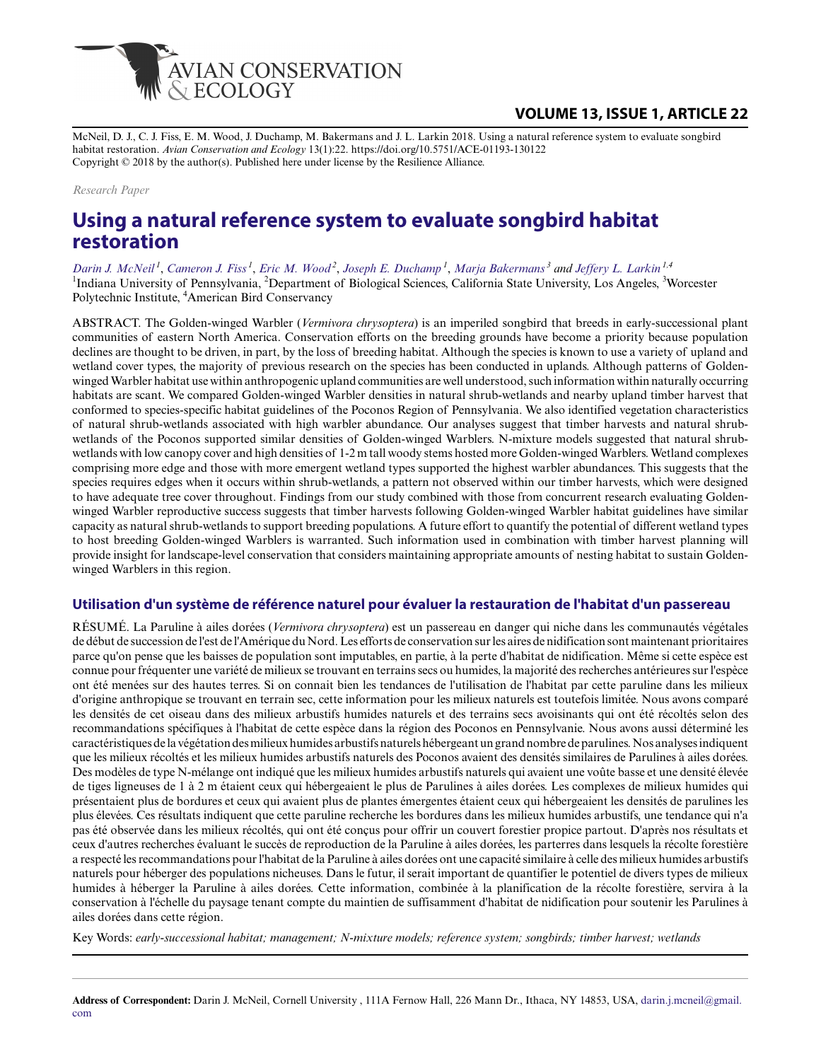

# **VOLUME 13, ISSUE 1, ARTICLE 22**

McNeil, D. J., C. J. Fiss, E. M. Wood, J. Duchamp, M. Bakermans and J. L. Larkin 2018. Using a natural reference system to evaluate songbird habitat restoration. *Avian Conservation and Ecology* 13(1):22. https://doi.org/10.5751/ACE-01193-130122 Copyright © 2018 by the author(s). Published here under license by the Resilience Alliance.

*Research Paper*

# **Using a natural reference system to evaluate songbird habitat restoration**

*[Darin J. McNeil](mailto:darin.j.mcneil@gmail.com)<sup>1</sup>* , *[Cameron J. Fiss](mailto:fisscameron@gmail.com)<sup>1</sup>* , *[Eric M. Wood](mailto:ericmwood@calstatela.edu)<sup>2</sup>* , *[Joseph E. Duchamp](mailto:jduchamp@iup.edu)<sup>1</sup>* , *[Marja Bakermans](mailto:mbakermans@wpi.edu)<sup>3</sup> and [Jeffery L. Larkin](mailto:larkin@iup.edu) 1,4* <sup>1</sup>Indiana University of Pennsylvania, <sup>2</sup>Department of Biological Sciences, California State University, Los Angeles, <sup>3</sup>Worcester Polytechnic Institute, <sup>4</sup>American Bird Conservancy

ABSTRACT. The Golden-winged Warbler (*Vermivora chrysoptera*) is an imperiled songbird that breeds in early-successional plant communities of eastern North America. Conservation efforts on the breeding grounds have become a priority because population declines are thought to be driven, in part, by the loss of breeding habitat. Although the species is known to use a variety of upland and wetland cover types, the majority of previous research on the species has been conducted in uplands. Although patterns of Goldenwinged Warbler habitat use within anthropogenic upland communities are well understood, such information within naturally occurring habitats are scant. We compared Golden-winged Warbler densities in natural shrub-wetlands and nearby upland timber harvest that conformed to species-specific habitat guidelines of the Poconos Region of Pennsylvania. We also identified vegetation characteristics of natural shrub-wetlands associated with high warbler abundance. Our analyses suggest that timber harvests and natural shrubwetlands of the Poconos supported similar densities of Golden-winged Warblers. N-mixture models suggested that natural shrubwetlands with low canopy cover and high densities of 1-2 m tall woody stems hosted more Golden-winged Warblers. Wetland complexes comprising more edge and those with more emergent wetland types supported the highest warbler abundances. This suggests that the species requires edges when it occurs within shrub-wetlands, a pattern not observed within our timber harvests, which were designed to have adequate tree cover throughout. Findings from our study combined with those from concurrent research evaluating Goldenwinged Warbler reproductive success suggests that timber harvests following Golden-winged Warbler habitat guidelines have similar capacity as natural shrub-wetlands to support breeding populations. A future effort to quantify the potential of different wetland types to host breeding Golden-winged Warblers is warranted. Such information used in combination with timber harvest planning will provide insight for landscape-level conservation that considers maintaining appropriate amounts of nesting habitat to sustain Goldenwinged Warblers in this region.

#### **Utilisation d'un système de référence naturel pour évaluer la restauration de l'habitat d'un passereau**

RÉSUMÉ. La Paruline à ailes dorées (*Vermivora chrysoptera*) est un passereau en danger qui niche dans les communautés végétales de début de succession de l'est de l'Amérique du Nord. Les efforts de conservation sur les aires de nidification sont maintenant prioritaires parce qu'on pense que les baisses de population sont imputables, en partie, à la perte d'habitat de nidification. Même si cette espèce est connue pour fréquenter une variété de milieux se trouvant en terrains secs ou humides, la majorité des recherches antérieures sur l'espèce ont été menées sur des hautes terres. Si on connait bien les tendances de l'utilisation de l'habitat par cette paruline dans les milieux d'origine anthropique se trouvant en terrain sec, cette information pour les milieux naturels est toutefois limitée. Nous avons comparé les densités de cet oiseau dans des milieux arbustifs humides naturels et des terrains secs avoisinants qui ont été récoltés selon des recommandations spécifiques à l'habitat de cette espèce dans la région des Poconos en Pennsylvanie. Nous avons aussi déterminé les caractéristiques de la végétation des milieux humides arbustifs naturels hébergeant un grand nombre de parulines. Nos analyses indiquent que les milieux récoltés et les milieux humides arbustifs naturels des Poconos avaient des densités similaires de Parulines à ailes dorées. Des modèles de type N-mélange ont indiqué que les milieux humides arbustifs naturels qui avaient une voûte basse et une densité élevée de tiges ligneuses de 1 à 2 m étaient ceux qui hébergeaient le plus de Parulines à ailes dorées. Les complexes de milieux humides qui présentaient plus de bordures et ceux qui avaient plus de plantes émergentes étaient ceux qui hébergeaient les densités de parulines les plus élevées. Ces résultats indiquent que cette paruline recherche les bordures dans les milieux humides arbustifs, une tendance qui n'a pas été observée dans les milieux récoltés, qui ont été conçus pour offrir un couvert forestier propice partout. D'après nos résultats et ceux d'autres recherches évaluant le succès de reproduction de la Paruline à ailes dorées, les parterres dans lesquels la récolte forestière a respecté les recommandations pour l'habitat de la Paruline à ailes dorées ont une capacité similaire à celle des milieux humides arbustifs naturels pour héberger des populations nicheuses. Dans le futur, il serait important de quantifier le potentiel de divers types de milieux humides à héberger la Paruline à ailes dorées. Cette information, combinée à la planification de la récolte forestière, servira à la conservation à l'échelle du paysage tenant compte du maintien de suffisamment d'habitat de nidification pour soutenir les Parulines à ailes dorées dans cette région.

Key Words: *early-successional habitat; management; N-mixture models; reference system; songbirds; timber harvest; wetlands*

**Address of Correspondent:** Darin J. McNeil, Cornell University , 111A Fernow Hall, 226 Mann Dr., Ithaca, NY 14853, USA, [darin.j.mcneil@gmail.](mailto:darin.j.mcneil@gmail.com) [com](mailto:darin.j.mcneil@gmail.com)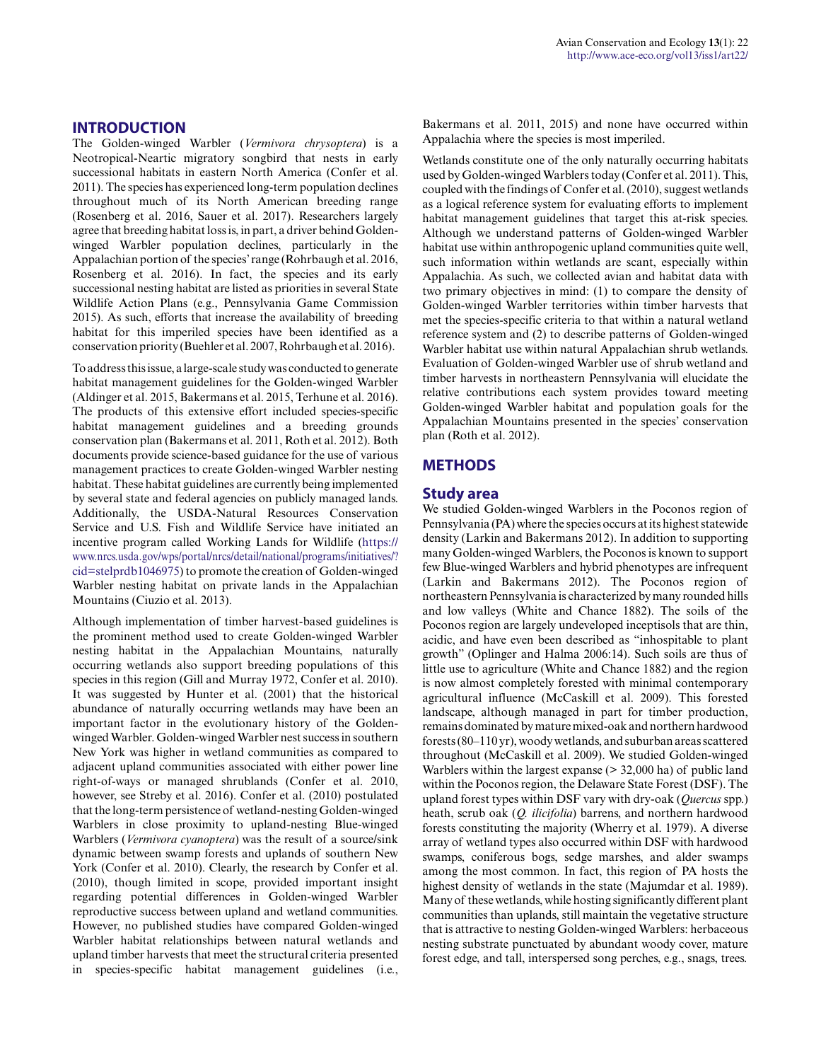#### **INTRODUCTION**

The Golden-winged Warbler (*Vermivora chrysoptera*) is a Neotropical-Neartic migratory songbird that nests in early successional habitats in eastern North America (Confer et al. 2011). The species has experienced long-term population declines throughout much of its North American breeding range (Rosenberg et al. 2016, Sauer et al. 2017). Researchers largely agree that breeding habitat loss is, in part, a driver behind Goldenwinged Warbler population declines, particularly in the Appalachian portion of the species' range (Rohrbaugh et al. 2016, Rosenberg et al. 2016). In fact, the species and its early successional nesting habitat are listed as priorities in several State Wildlife Action Plans (e.g., Pennsylvania Game Commission 2015). As such, efforts that increase the availability of breeding habitat for this imperiled species have been identified as a conservation priority (Buehler et al. 2007, Rohrbaugh et al. 2016).

To address this issue, a large-scale study was conducted to generate habitat management guidelines for the Golden-winged Warbler (Aldinger et al. 2015, Bakermans et al. 2015, Terhune et al. 2016). The products of this extensive effort included species-specific habitat management guidelines and a breeding grounds conservation plan (Bakermans et al. 2011, Roth et al. 2012). Both documents provide science-based guidance for the use of various management practices to create Golden-winged Warbler nesting habitat. These habitat guidelines are currently being implemented by several state and federal agencies on publicly managed lands. Additionally, the USDA-Natural Resources Conservation Service and U.S. Fish and Wildlife Service have initiated an incentive program called Working Lands for Wildlife [\(https://](https://www.nrcs.usda.gov/wps/portal/nrcs/detail/national/programs/initiatives/?cid=stelprdb1046975) [www.nrcs.usda.gov/wps/portal/nrcs/detail/national/programs/initiatives/?](https://www.nrcs.usda.gov/wps/portal/nrcs/detail/national/programs/initiatives/?cid=stelprdb1046975) [cid=stelprdb1046975\)](https://www.nrcs.usda.gov/wps/portal/nrcs/detail/national/programs/initiatives/?cid=stelprdb1046975) to promote the creation of Golden-winged Warbler nesting habitat on private lands in the Appalachian Mountains (Ciuzio et al. 2013).

Although implementation of timber harvest-based guidelines is the prominent method used to create Golden-winged Warbler nesting habitat in the Appalachian Mountains, naturally occurring wetlands also support breeding populations of this species in this region (Gill and Murray 1972, Confer et al. 2010). It was suggested by Hunter et al. (2001) that the historical abundance of naturally occurring wetlands may have been an important factor in the evolutionary history of the Goldenwinged Warbler. Golden-winged Warbler nest success in southern New York was higher in wetland communities as compared to adjacent upland communities associated with either power line right-of-ways or managed shrublands (Confer et al. 2010, however, see Streby et al. 2016). Confer et al. (2010) postulated that the long-term persistence of wetland-nesting Golden-winged Warblers in close proximity to upland-nesting Blue-winged Warblers (*Vermivora cyanoptera*) was the result of a source/sink dynamic between swamp forests and uplands of southern New York (Confer et al. 2010). Clearly, the research by Confer et al. (2010), though limited in scope, provided important insight regarding potential differences in Golden-winged Warbler reproductive success between upland and wetland communities. However, no published studies have compared Golden-winged Warbler habitat relationships between natural wetlands and upland timber harvests that meet the structural criteria presented in species-specific habitat management guidelines (i.e.,

Bakermans et al. 2011, 2015) and none have occurred within Appalachia where the species is most imperiled.

Wetlands constitute one of the only naturally occurring habitats used by Golden-winged Warblers today (Confer et al. 2011). This, coupled with the findings of Confer et al. (2010), suggest wetlands as a logical reference system for evaluating efforts to implement habitat management guidelines that target this at-risk species. Although we understand patterns of Golden-winged Warbler habitat use within anthropogenic upland communities quite well, such information within wetlands are scant, especially within Appalachia. As such, we collected avian and habitat data with two primary objectives in mind: (1) to compare the density of Golden-winged Warbler territories within timber harvests that met the species-specific criteria to that within a natural wetland reference system and (2) to describe patterns of Golden-winged Warbler habitat use within natural Appalachian shrub wetlands. Evaluation of Golden-winged Warbler use of shrub wetland and timber harvests in northeastern Pennsylvania will elucidate the relative contributions each system provides toward meeting Golden-winged Warbler habitat and population goals for the Appalachian Mountains presented in the species' conservation plan (Roth et al. 2012).

#### **METHODS**

#### **Study area**

We studied Golden-winged Warblers in the Poconos region of Pennsylvania (PA) where the species occurs at its highest statewide density (Larkin and Bakermans 2012). In addition to supporting many Golden-winged Warblers, the Poconos is known to support few Blue-winged Warblers and hybrid phenotypes are infrequent (Larkin and Bakermans 2012). The Poconos region of northeastern Pennsylvania is characterized by many rounded hills and low valleys (White and Chance 1882). The soils of the Poconos region are largely undeveloped inceptisols that are thin, acidic, and have even been described as "inhospitable to plant growth" (Oplinger and Halma 2006:14). Such soils are thus of little use to agriculture (White and Chance 1882) and the region is now almost completely forested with minimal contemporary agricultural influence (McCaskill et al. 2009). This forested landscape, although managed in part for timber production, remains dominated by mature mixed-oak and northern hardwood forests (80–110 yr), woody wetlands, and suburban areas scattered throughout (McCaskill et al. 2009). We studied Golden-winged Warblers within the largest expanse (> 32,000 ha) of public land within the Poconos region, the Delaware State Forest (DSF). The upland forest types within DSF vary with dry-oak (*Quercus* spp.) heath, scrub oak (*Q. ilicifolia*) barrens, and northern hardwood forests constituting the majority (Wherry et al. 1979). A diverse array of wetland types also occurred within DSF with hardwood swamps, coniferous bogs, sedge marshes, and alder swamps among the most common. In fact, this region of PA hosts the highest density of wetlands in the state (Majumdar et al. 1989). Many of these wetlands, while hosting significantly different plant communities than uplands, still maintain the vegetative structure that is attractive to nesting Golden-winged Warblers: herbaceous nesting substrate punctuated by abundant woody cover, mature forest edge, and tall, interspersed song perches, e.g., snags, trees.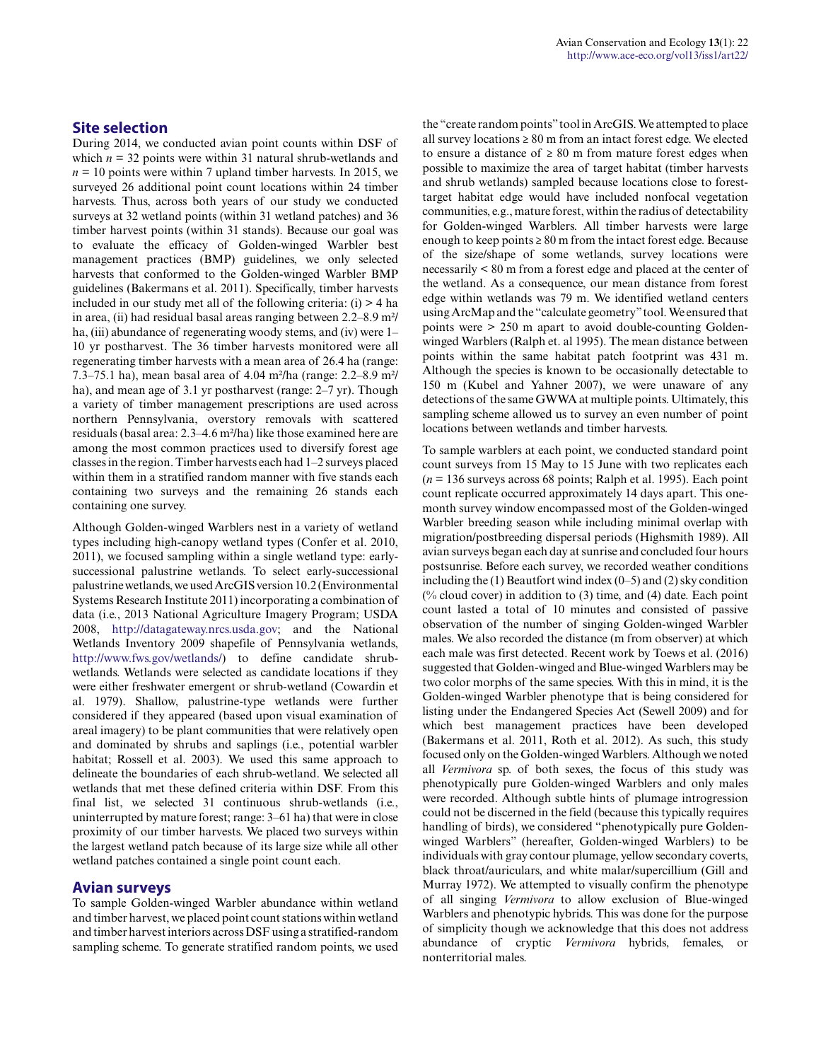#### **Site selection**

During 2014, we conducted avian point counts within DSF of which  $n = 32$  points were within 31 natural shrub-wetlands and  $n = 10$  points were within 7 upland timber harvests. In 2015, we surveyed 26 additional point count locations within 24 timber harvests. Thus, across both years of our study we conducted surveys at 32 wetland points (within 31 wetland patches) and 36 timber harvest points (within 31 stands). Because our goal was to evaluate the efficacy of Golden-winged Warbler best management practices (BMP) guidelines, we only selected harvests that conformed to the Golden-winged Warbler BMP guidelines (Bakermans et al. 2011). Specifically, timber harvests included in our study met all of the following criteria:  $(i) > 4$  ha in area, (ii) had residual basal areas ranging between 2.2–8.9 m²/ ha, (iii) abundance of regenerating woody stems, and (iv) were 1– 10 yr postharvest. The 36 timber harvests monitored were all regenerating timber harvests with a mean area of 26.4 ha (range: 7.3–75.1 ha), mean basal area of 4.04 m²/ha (range: 2.2–8.9 m²/ ha), and mean age of 3.1 yr postharvest (range: 2–7 yr). Though a variety of timber management prescriptions are used across northern Pennsylvania, overstory removals with scattered residuals (basal area: 2.3–4.6 m²/ha) like those examined here are among the most common practices used to diversify forest age classes in the region. Timber harvests each had 1–2 surveys placed within them in a stratified random manner with five stands each containing two surveys and the remaining 26 stands each containing one survey.

Although Golden-winged Warblers nest in a variety of wetland types including high-canopy wetland types (Confer et al. 2010, 2011), we focused sampling within a single wetland type: earlysuccessional palustrine wetlands. To select early-successional palustrine wetlands, we used ArcGIS version 10.2 (Environmental Systems Research Institute 2011) incorporating a combination of data (i.e., 2013 National Agriculture Imagery Program; USDA 2008, [http://datagateway.nrcs.usda.gov;](http://datagateway.nrcs.usda.gov) and the National Wetlands Inventory 2009 shapefile of Pennsylvania wetlands, [http://www.fws.gov/wetlands/\)](http://www.fws.gov/wetlands/) to define candidate shrubwetlands. Wetlands were selected as candidate locations if they were either freshwater emergent or shrub-wetland (Cowardin et al. 1979). Shallow, palustrine-type wetlands were further considered if they appeared (based upon visual examination of areal imagery) to be plant communities that were relatively open and dominated by shrubs and saplings (i.e., potential warbler habitat; Rossell et al. 2003). We used this same approach to delineate the boundaries of each shrub-wetland. We selected all wetlands that met these defined criteria within DSF. From this final list, we selected 31 continuous shrub-wetlands (i.e., uninterrupted by mature forest; range: 3–61 ha) that were in close proximity of our timber harvests. We placed two surveys within the largest wetland patch because of its large size while all other wetland patches contained a single point count each.

#### **Avian surveys**

To sample Golden-winged Warbler abundance within wetland and timber harvest, we placed point count stations within wetland and timber harvest interiors across DSF using a stratified-random sampling scheme. To generate stratified random points, we used the "create random points" tool in ArcGIS. We attempted to place all survey locations  $\geq 80$  m from an intact forest edge. We elected to ensure a distance of  $\geq 80$  m from mature forest edges when possible to maximize the area of target habitat (timber harvests and shrub wetlands) sampled because locations close to foresttarget habitat edge would have included nonfocal vegetation communities, e.g., mature forest, within the radius of detectability for Golden-winged Warblers. All timber harvests were large enough to keep points  $\geq 80$  m from the intact forest edge. Because of the size/shape of some wetlands, survey locations were necessarily < 80 m from a forest edge and placed at the center of the wetland. As a consequence, our mean distance from forest edge within wetlands was 79 m. We identified wetland centers using ArcMap and the "calculate geometry" tool. We ensured that points were > 250 m apart to avoid double-counting Goldenwinged Warblers (Ralph et. al 1995). The mean distance between points within the same habitat patch footprint was 431 m. Although the species is known to be occasionally detectable to 150 m (Kubel and Yahner 2007), we were unaware of any detections of the same GWWA at multiple points. Ultimately, this sampling scheme allowed us to survey an even number of point locations between wetlands and timber harvests.

To sample warblers at each point, we conducted standard point count surveys from 15 May to 15 June with two replicates each (*n* = 136 surveys across 68 points; Ralph et al. 1995). Each point count replicate occurred approximately 14 days apart. This onemonth survey window encompassed most of the Golden-winged Warbler breeding season while including minimal overlap with migration/postbreeding dispersal periods (Highsmith 1989). All avian surveys began each day at sunrise and concluded four hours postsunrise. Before each survey, we recorded weather conditions including the (1) Beautfort wind index (0–5) and (2) sky condition (% cloud cover) in addition to (3) time, and (4) date. Each point count lasted a total of 10 minutes and consisted of passive observation of the number of singing Golden-winged Warbler males. We also recorded the distance (m from observer) at which each male was first detected. Recent work by Toews et al. (2016) suggested that Golden-winged and Blue-winged Warblers may be two color morphs of the same species. With this in mind, it is the Golden-winged Warbler phenotype that is being considered for listing under the Endangered Species Act (Sewell 2009) and for which best management practices have been developed (Bakermans et al. 2011, Roth et al. 2012). As such, this study focused only on the Golden-winged Warblers. Although we noted all *Vermivora* sp. of both sexes, the focus of this study was phenotypically pure Golden-winged Warblers and only males were recorded. Although subtle hints of plumage introgression could not be discerned in the field (because this typically requires handling of birds), we considered "phenotypically pure Goldenwinged Warblers" (hereafter, Golden-winged Warblers) to be individuals with gray contour plumage, yellow secondary coverts, black throat/auriculars, and white malar/supercillium (Gill and Murray 1972). We attempted to visually confirm the phenotype of all singing *Vermivora* to allow exclusion of Blue-winged Warblers and phenotypic hybrids. This was done for the purpose of simplicity though we acknowledge that this does not address abundance of cryptic *Vermivora* hybrids, females, or nonterritorial males.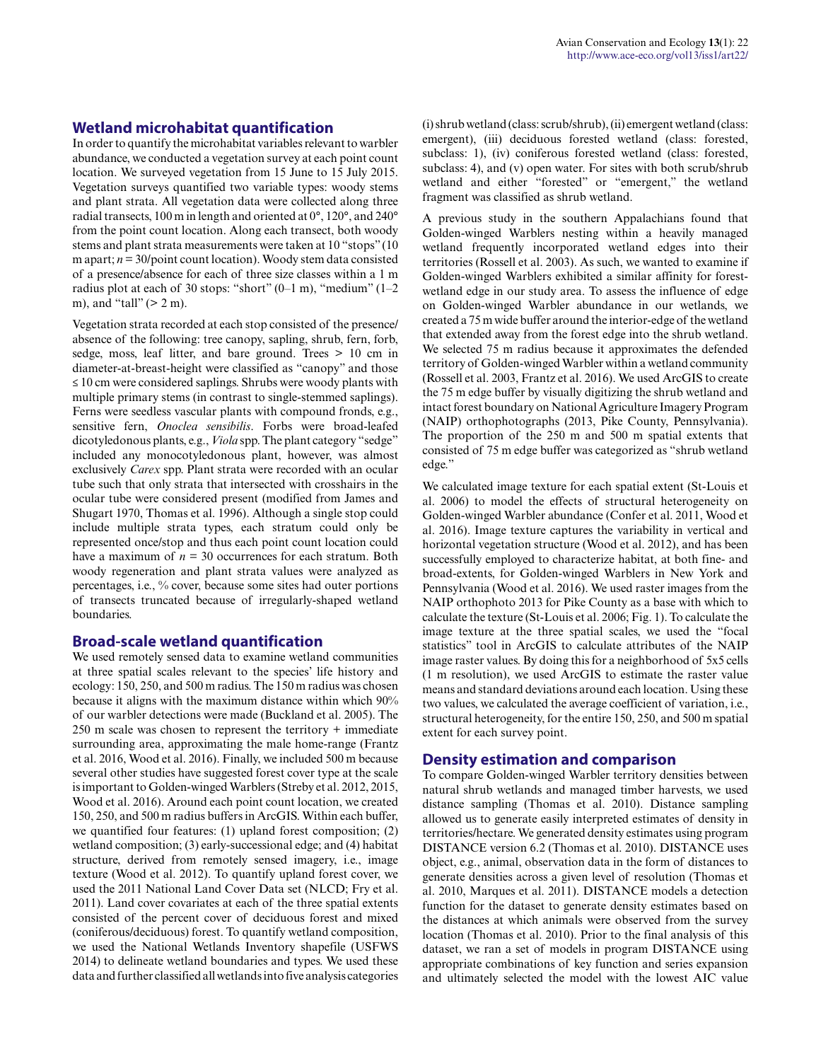### **Wetland microhabitat quantification**

In order to quantify the microhabitat variables relevant to warbler abundance, we conducted a vegetation survey at each point count location. We surveyed vegetation from 15 June to 15 July 2015. Vegetation surveys quantified two variable types: woody stems and plant strata. All vegetation data were collected along three radial transects, 100 m in length and oriented at 0°, 120°, and 240° from the point count location. Along each transect, both woody stems and plant strata measurements were taken at 10 "stops" (10 m apart; *n* = 30/point count location). Woody stem data consisted of a presence/absence for each of three size classes within a 1 m radius plot at each of 30 stops: "short"  $(0-1 \text{ m})$ , "medium"  $(1-2 \text{ m})$ m), and "tall"  $(> 2 m)$ .

Vegetation strata recorded at each stop consisted of the presence/ absence of the following: tree canopy, sapling, shrub, fern, forb, sedge, moss, leaf litter, and bare ground. Trees  $> 10$  cm in diameter-at-breast-height were classified as "canopy" and those  $\leq 10$  cm were considered saplings. Shrubs were woody plants with multiple primary stems (in contrast to single-stemmed saplings). Ferns were seedless vascular plants with compound fronds, e.g., sensitive fern, *Onoclea sensibilis*. Forbs were broad-leafed dicotyledonous plants, e.g., *Viola* spp. The plant category "sedge" included any monocotyledonous plant, however, was almost exclusively *Carex* spp. Plant strata were recorded with an ocular tube such that only strata that intersected with crosshairs in the ocular tube were considered present (modified from James and Shugart 1970, Thomas et al. 1996). Although a single stop could include multiple strata types, each stratum could only be represented once/stop and thus each point count location could have a maximum of  $n = 30$  occurrences for each stratum. Both woody regeneration and plant strata values were analyzed as percentages, i.e., % cover, because some sites had outer portions of transects truncated because of irregularly-shaped wetland boundaries.

#### **Broad-scale wetland quantification**

We used remotely sensed data to examine wetland communities at three spatial scales relevant to the species' life history and ecology: 150, 250, and 500 m radius. The 150 m radius was chosen because it aligns with the maximum distance within which 90% of our warbler detections were made (Buckland et al. 2005). The 250 m scale was chosen to represent the territory + immediate surrounding area, approximating the male home-range (Frantz et al. 2016, Wood et al. 2016). Finally, we included 500 m because several other studies have suggested forest cover type at the scale is important to Golden-winged Warblers (Streby et al. 2012, 2015, Wood et al. 2016). Around each point count location, we created 150, 250, and 500 m radius buffers in ArcGIS. Within each buffer, we quantified four features: (1) upland forest composition; (2) wetland composition; (3) early-successional edge; and (4) habitat structure, derived from remotely sensed imagery, i.e., image texture (Wood et al. 2012). To quantify upland forest cover, we used the 2011 National Land Cover Data set (NLCD; Fry et al. 2011). Land cover covariates at each of the three spatial extents consisted of the percent cover of deciduous forest and mixed (coniferous/deciduous) forest. To quantify wetland composition, we used the National Wetlands Inventory shapefile (USFWS 2014) to delineate wetland boundaries and types. We used these data and further classified all wetlands into five analysis categories

(i) shrub wetland (class: scrub/shrub), (ii) emergent wetland (class: emergent), (iii) deciduous forested wetland (class: forested, subclass: 1), (iv) coniferous forested wetland (class: forested, subclass: 4), and (v) open water. For sites with both scrub/shrub wetland and either "forested" or "emergent," the wetland fragment was classified as shrub wetland.

A previous study in the southern Appalachians found that Golden-winged Warblers nesting within a heavily managed wetland frequently incorporated wetland edges into their territories (Rossell et al. 2003). As such, we wanted to examine if Golden-winged Warblers exhibited a similar affinity for forestwetland edge in our study area. To assess the influence of edge on Golden-winged Warbler abundance in our wetlands, we created a 75 m wide buffer around the interior-edge of the wetland that extended away from the forest edge into the shrub wetland. We selected 75 m radius because it approximates the defended territory of Golden-winged Warbler within a wetland community (Rossell et al. 2003, Frantz et al. 2016). We used ArcGIS to create the 75 m edge buffer by visually digitizing the shrub wetland and intact forest boundary on National Agriculture Imagery Program (NAIP) orthophotographs (2013, Pike County, Pennsylvania). The proportion of the 250 m and 500 m spatial extents that consisted of 75 m edge buffer was categorized as "shrub wetland edge."

We calculated image texture for each spatial extent (St-Louis et al. 2006) to model the effects of structural heterogeneity on Golden-winged Warbler abundance (Confer et al. 2011, Wood et al. 2016). Image texture captures the variability in vertical and horizontal vegetation structure (Wood et al. 2012), and has been successfully employed to characterize habitat, at both fine- and broad-extents, for Golden-winged Warblers in New York and Pennsylvania (Wood et al. 2016). We used raster images from the NAIP orthophoto 2013 for Pike County as a base with which to calculate the texture (St-Louis et al. 2006; Fig. 1). To calculate the image texture at the three spatial scales, we used the "focal statistics" tool in ArcGIS to calculate attributes of the NAIP image raster values. By doing this for a neighborhood of 5x5 cells (1 m resolution), we used ArcGIS to estimate the raster value means and standard deviations around each location. Using these two values, we calculated the average coefficient of variation, i.e., structural heterogeneity, for the entire 150, 250, and 500 m spatial extent for each survey point.

#### **Density estimation and comparison**

To compare Golden-winged Warbler territory densities between natural shrub wetlands and managed timber harvests, we used distance sampling (Thomas et al. 2010). Distance sampling allowed us to generate easily interpreted estimates of density in territories/hectare. We generated density estimates using program DISTANCE version 6.2 (Thomas et al. 2010). DISTANCE uses object, e.g., animal, observation data in the form of distances to generate densities across a given level of resolution (Thomas et al. 2010, Marques et al. 2011). DISTANCE models a detection function for the dataset to generate density estimates based on the distances at which animals were observed from the survey location (Thomas et al. 2010). Prior to the final analysis of this dataset, we ran a set of models in program DISTANCE using appropriate combinations of key function and series expansion and ultimately selected the model with the lowest AIC value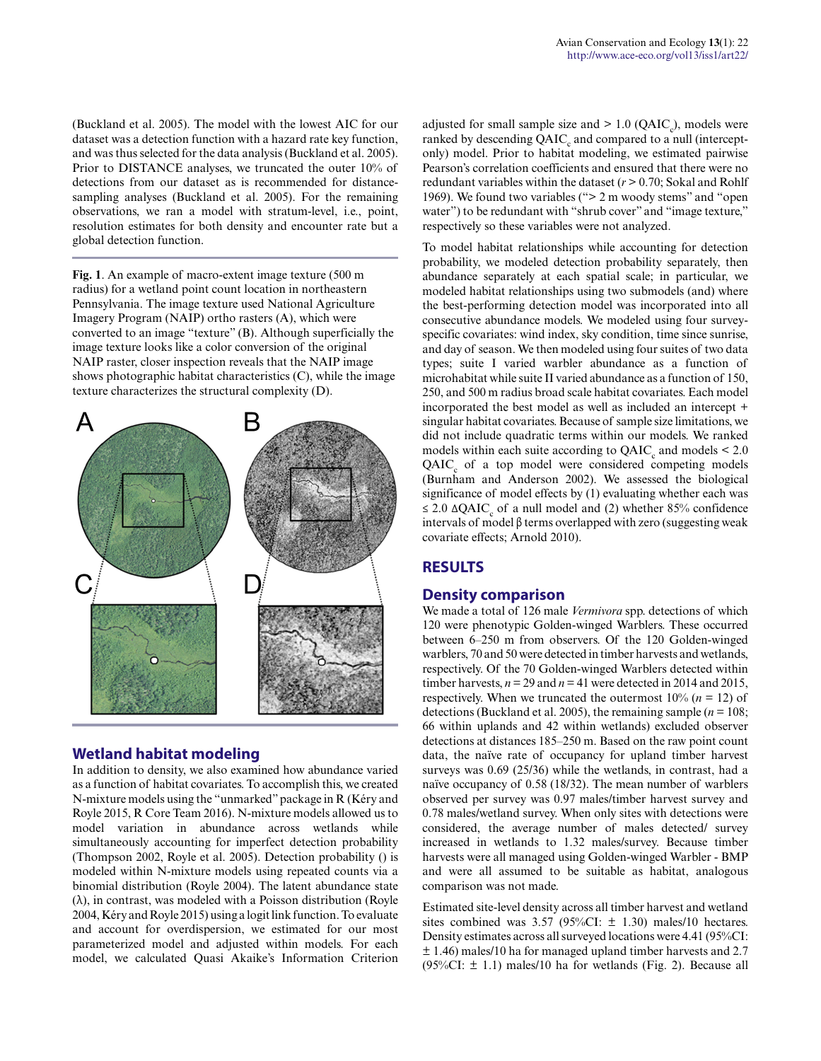(Buckland et al. 2005). The model with the lowest AIC for our dataset was a detection function with a hazard rate key function, and was thus selected for the data analysis (Buckland et al. 2005). Prior to DISTANCE analyses, we truncated the outer 10% of detections from our dataset as is recommended for distancesampling analyses (Buckland et al. 2005). For the remaining observations, we ran a model with stratum-level, i.e., point, resolution estimates for both density and encounter rate but a global detection function.

**Fig. 1**. An example of macro-extent image texture (500 m radius) for a wetland point count location in northeastern Pennsylvania. The image texture used National Agriculture Imagery Program (NAIP) ortho rasters (A), which were converted to an image "texture" (B). Although superficially the image texture looks like a color conversion of the original NAIP raster, closer inspection reveals that the NAIP image shows photographic habitat characteristics (C), while the image texture characterizes the structural complexity (D).



## **Wetland habitat modeling**

In addition to density, we also examined how abundance varied as a function of habitat covariates. To accomplish this, we created N-mixture models using the "unmarked" package in R (Kéry and Royle 2015, R Core Team 2016). N-mixture models allowed us to model variation in abundance across wetlands while simultaneously accounting for imperfect detection probability (Thompson 2002, Royle et al. 2005). Detection probability () is modeled within N-mixture models using repeated counts via a binomial distribution (Royle 2004). The latent abundance state (λ), in contrast, was modeled with a Poisson distribution (Royle 2004, Kéry and Royle 2015) using a logit link function. To evaluate and account for overdispersion, we estimated for our most parameterized model and adjusted within models. For each model, we calculated Quasi Akaike's Information Criterion

adjusted for small sample size and  $> 1.0$  (QAIC<sub>c</sub>), models were ranked by descending  $QAIC_c$  and compared to a null (interceptonly) model. Prior to habitat modeling, we estimated pairwise Pearson's correlation coefficients and ensured that there were no redundant variables within the dataset (*r* > 0.70; Sokal and Rohlf 1969). We found two variables ("> 2 m woody stems" and "open water") to be redundant with "shrub cover" and "image texture," respectively so these variables were not analyzed.

To model habitat relationships while accounting for detection probability, we modeled detection probability separately, then abundance separately at each spatial scale; in particular, we modeled habitat relationships using two submodels (and) where the best-performing detection model was incorporated into all consecutive abundance models. We modeled using four surveyspecific covariates: wind index, sky condition, time since sunrise, and day of season. We then modeled using four suites of two data types; suite I varied warbler abundance as a function of microhabitat while suite II varied abundance as a function of 150, 250, and 500 m radius broad scale habitat covariates. Each model incorporated the best model as well as included an intercept + singular habitat covariates. Because of sample size limitations, we did not include quadratic terms within our models. We ranked models within each suite according to  $QAIC_c$  and models < 2.0  $QAIC<sub>c</sub>$  of a top model were considered competing models (Burnham and Anderson 2002). We assessed the biological significance of model effects by (1) evaluating whether each was  $\leq$  2.0 ∆QAIC<sub>c</sub> of a null model and (2) whether 85% confidence intervals of model  $\beta$  terms overlapped with zero (suggesting weak covariate effects; Arnold 2010).

# **RESULTS**

## **Density comparison**

We made a total of 126 male *Vermivora* spp. detections of which 120 were phenotypic Golden-winged Warblers. These occurred between 6–250 m from observers. Of the 120 Golden-winged warblers, 70 and 50 were detected in timber harvests and wetlands, respectively. Of the 70 Golden-winged Warblers detected within timber harvests,  $n = 29$  and  $n = 41$  were detected in 2014 and 2015, respectively. When we truncated the outermost  $10\%$  ( $n = 12$ ) of detections (Buckland et al. 2005), the remaining sample (*n* = 108; 66 within uplands and 42 within wetlands) excluded observer detections at distances 185–250 m. Based on the raw point count data, the naïve rate of occupancy for upland timber harvest surveys was 0.69 (25/36) while the wetlands, in contrast, had a naïve occupancy of 0.58 (18/32). The mean number of warblers observed per survey was 0.97 males/timber harvest survey and 0.78 males/wetland survey. When only sites with detections were considered, the average number of males detected/ survey increased in wetlands to 1.32 males/survey. Because timber harvests were all managed using Golden-winged Warbler - BMP and were all assumed to be suitable as habitat, analogous comparison was not made.

Estimated site-level density across all timber harvest and wetland sites combined was 3.57 (95%CI:  $\pm$  1.30) males/10 hectares. Density estimates across all surveyed locations were 4.41 (95%CI: ± 1.46) males/10 ha for managed upland timber harvests and 2.7 (95%CI:  $\pm$  1.1) males/10 ha for wetlands (Fig. 2). Because all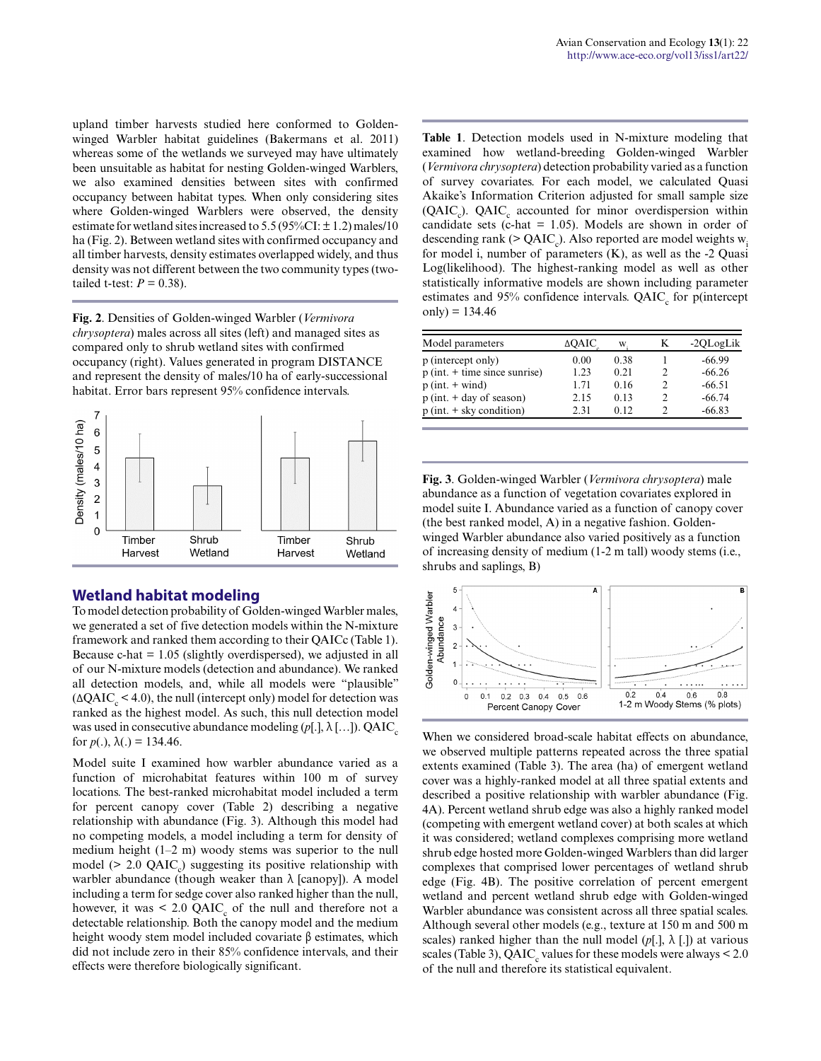upland timber harvests studied here conformed to Goldenwinged Warbler habitat guidelines (Bakermans et al. 2011) whereas some of the wetlands we surveyed may have ultimately been unsuitable as habitat for nesting Golden-winged Warblers, we also examined densities between sites with confirmed occupancy between habitat types. When only considering sites where Golden-winged Warblers were observed, the density estimate for wetland sites increased to  $5.5(95\%CI: \pm 1.2)$  males/10 ha (Fig. 2). Between wetland sites with confirmed occupancy and all timber harvests, density estimates overlapped widely, and thus density was not different between the two community types (twotailed t-test:  $P = 0.38$ ).

**Fig. 2**. Densities of Golden-winged Warbler (*Vermivora chrysoptera*) males across all sites (left) and managed sites as compared only to shrub wetland sites with confirmed occupancy (right). Values generated in program DISTANCE and represent the density of males/10 ha of early-successional habitat. Error bars represent 95% confidence intervals.



# **Wetland habitat modeling**

To model detection probability of Golden-winged Warbler males, we generated a set of five detection models within the N-mixture framework and ranked them according to their QAICc (Table 1). Because c-hat  $= 1.05$  (slightly overdispersed), we adjusted in all of our N-mixture models (detection and abundance). We ranked all detection models, and, while all models were "plausible"  $(\Delta \text{QAIC}_{c} < 4.0)$ , the null (intercept only) model for detection was ranked as the highest model. As such, this null detection model was used in consecutive abundance modeling  $(p[.], \lambda[...])$ . QAIC<sub>c</sub> for  $p(.)$ ,  $\lambda(.) = 134.46$ .

Model suite I examined how warbler abundance varied as a function of microhabitat features within 100 m of survey locations. The best-ranked microhabitat model included a term for percent canopy cover (Table 2) describing a negative relationship with abundance (Fig. 3). Although this model had no competing models, a model including a term for density of medium height (1–2 m) woody stems was superior to the null model ( $> 2.0$  QAIC<sub>c</sub>) suggesting its positive relationship with warbler abundance (though weaker than  $\lambda$  [canopy]). A model including a term for sedge cover also ranked higher than the null, however, it was  $\leq 2.0 \text{ QAIC}_{c}$  of the null and therefore not a detectable relationship. Both the canopy model and the medium height woody stem model included covariate β estimates, which did not include zero in their 85% confidence intervals, and their effects were therefore biologically significant.

**Table 1**. Detection models used in N-mixture modeling that examined how wetland-breeding Golden-winged Warbler (*Vermivora chrysoptera*) detection probability varied as a function of survey covariates. For each model, we calculated Quasi Akaike's Information Criterion adjusted for small sample size  $(QAIC<sub>c</sub>)$ .  $QAIC<sub>c</sub>$  accounted for minor overdispersion within candidate sets (c-hat  $= 1.05$ ). Models are shown in order of descending rank (> QAIC<sub>c</sub>). Also reported are model weights  $w_i$ for model i, number of parameters (K), as well as the -2 Quasi Log(likelihood). The highest-ranking model as well as other statistically informative models are shown including parameter estimates and 95% confidence intervals.  $QAIC_c$  for p(intercept  $only) = 134.46$ 

| Model parameters              | ∆OAIC | w    | -2QLogLik |
|-------------------------------|-------|------|-----------|
| p (intercept only)            | 0.00  | 0.38 | -66.99    |
| $p(int + time since sumrise)$ | 1 23  | 0.21 | $-66.26$  |
| $p(int + wind)$               | 1.71  | 0.16 | $-66.51$  |
| $p$ (int. + day of season)    | 2.15  | 0.13 | -66 74    |
| $p$ (int. $+$ sky condition)  | 2.31  | 0.12 | $-66.83$  |

**Fig. 3**. Golden-winged Warbler (*Vermivora chrysoptera*) male abundance as a function of vegetation covariates explored in model suite I. Abundance varied as a function of canopy cover (the best ranked model, A) in a negative fashion. Goldenwinged Warbler abundance also varied positively as a function of increasing density of medium (1-2 m tall) woody stems (i.e., shrubs and saplings, B)



When we considered broad-scale habitat effects on abundance, we observed multiple patterns repeated across the three spatial extents examined (Table 3). The area (ha) of emergent wetland cover was a highly-ranked model at all three spatial extents and described a positive relationship with warbler abundance (Fig. 4A). Percent wetland shrub edge was also a highly ranked model (competing with emergent wetland cover) at both scales at which it was considered; wetland complexes comprising more wetland shrub edge hosted more Golden-winged Warblers than did larger complexes that comprised lower percentages of wetland shrub edge (Fig. 4B). The positive correlation of percent emergent wetland and percent wetland shrub edge with Golden-winged Warbler abundance was consistent across all three spatial scales. Although several other models (e.g., texture at 150 m and 500 m scales) ranked higher than the null model  $(p[.], \lambda[.])$  at various scales (Table 3),  $\text{QAIC}_{\text{c}}$  values for these models were always < 2.0 of the null and therefore its statistical equivalent.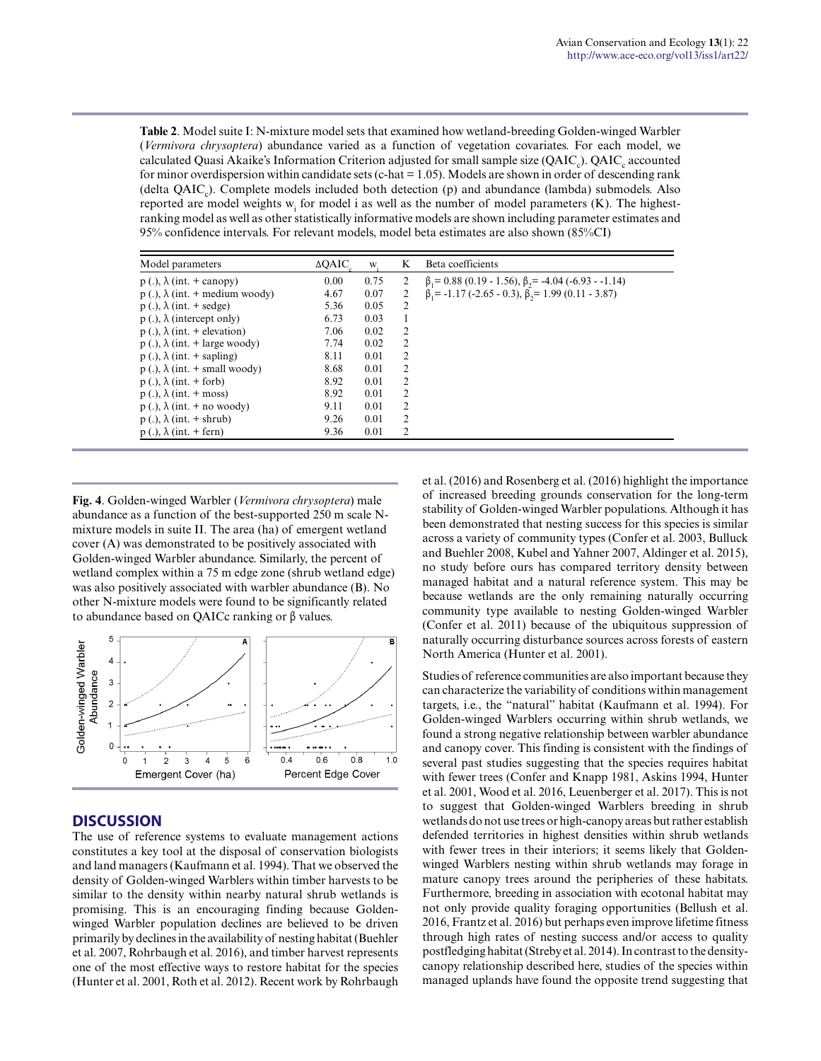**Table 2**. Model suite I: N-mixture model sets that examined how wetland-breeding Golden-winged Warbler (*Vermivora chrysoptera*) abundance varied as a function of vegetation covariates. For each model, we calculated Quasi Akaike's Information Criterion adjusted for small sample size (QAIC). QAIC<sub>c</sub> accounted for minor overdispersion within candidate sets (c-hat  $= 1.05$ ). Models are shown in order of descending rank (delta  $QAIC<sub>c</sub>$ ). Complete models included both detection (p) and abundance (lambda) submodels. Also reported are model weights  $w_i$  for model i as well as the number of model parameters (K). The highestranking model as well as other statistically informative models are shown including parameter estimates and 95% confidence intervals. For relevant models, model beta estimates are also shown (85%CI)

| Model parameters                         | $\triangle$ QAIC | W.   | K              | Beta coefficients                                                 |
|------------------------------------------|------------------|------|----------------|-------------------------------------------------------------------|
| $p(.)$ , $\lambda$ (int. + canopy)       | 0.00             | 0.75 |                | $\beta_1$ = 0.88 (0.19 - 1.56), $\beta_2$ = -4.04 (-6.93 - -1.14) |
| $p(.)$ , $\lambda$ (int. + medium woody) | 4.67             | 0.07 | 2              | $\beta_1$ = -1.17 (-2.65 - 0.3), $\beta_2$ = 1.99 (0.11 - 3.87)   |
| $p(.)$ , $\lambda$ (int. + sedge)        | 5.36             | 0.05 | 2              |                                                                   |
| $p(.)$ , $\lambda$ (intercept only)      | 6.73             | 0.03 | 1              |                                                                   |
| $p(.)$ , $\lambda$ (int. + elevation)    | 7.06             | 0.02 | 2              |                                                                   |
| $p(.)$ , $\lambda$ (int. + large woody)  | 7.74             | 0.02 | 2              |                                                                   |
| $p(.)$ , $\lambda$ (int. + sapling)      | 8.11             | 0.01 | 2              |                                                                   |
| $p(.)$ , $\lambda$ (int. + small woody)  | 8.68             | 0.01 | 2              |                                                                   |
| $p(.)$ , $\lambda$ (int. + forb)         | 8.92             | 0.01 | 2              |                                                                   |
| $p(.)$ , $\lambda$ (int. + moss)         | 8.92             | 0.01 | $\overline{c}$ |                                                                   |
| $p(.)$ , $\lambda$ (int. + no woody)     | 9.11             | 0.01 | $\mathfrak{D}$ |                                                                   |
| $p(.)$ , $\lambda$ (int. + shrub)        | 9.26             | 0.01 | 2              |                                                                   |
| $p(.)$ , $\lambda$ (int. + fern)         | 9.36             | 0.01 | 2              |                                                                   |

**Fig. 4**. Golden-winged Warbler (*Vermivora chrysoptera*) male abundance as a function of the best-supported 250 m scale Nmixture models in suite II. The area (ha) of emergent wetland cover (A) was demonstrated to be positively associated with Golden-winged Warbler abundance. Similarly, the percent of wetland complex within a 75 m edge zone (shrub wetland edge) was also positively associated with warbler abundance (B). No other N-mixture models were found to be significantly related to abundance based on QAICc ranking or β values.



## **DISCUSSION**

The use of reference systems to evaluate management actions constitutes a key tool at the disposal of conservation biologists and land managers (Kaufmann et al. 1994). That we observed the density of Golden-winged Warblers within timber harvests to be similar to the density within nearby natural shrub wetlands is promising. This is an encouraging finding because Goldenwinged Warbler population declines are believed to be driven primarily by declines in the availability of nesting habitat (Buehler et al. 2007, Rohrbaugh et al. 2016), and timber harvest represents one of the most effective ways to restore habitat for the species (Hunter et al. 2001, Roth et al. 2012). Recent work by Rohrbaugh et al. (2016) and Rosenberg et al. (2016) highlight the importance of increased breeding grounds conservation for the long-term stability of Golden-winged Warbler populations. Although it has been demonstrated that nesting success for this species is similar across a variety of community types (Confer et al. 2003, Bulluck and Buehler 2008, Kubel and Yahner 2007, Aldinger et al. 2015), no study before ours has compared territory density between managed habitat and a natural reference system. This may be because wetlands are the only remaining naturally occurring community type available to nesting Golden-winged Warbler (Confer et al. 2011) because of the ubiquitous suppression of naturally occurring disturbance sources across forests of eastern North America (Hunter et al. 2001).

Studies of reference communities are also important because they can characterize the variability of conditions within management targets, i.e., the "natural" habitat (Kaufmann et al. 1994). For Golden-winged Warblers occurring within shrub wetlands, we found a strong negative relationship between warbler abundance and canopy cover. This finding is consistent with the findings of several past studies suggesting that the species requires habitat with fewer trees (Confer and Knapp 1981, Askins 1994, Hunter et al. 2001, Wood et al. 2016, Leuenberger et al. 2017). This is not to suggest that Golden-winged Warblers breeding in shrub wetlands do not use trees or high-canopy areas but rather establish defended territories in highest densities within shrub wetlands with fewer trees in their interiors; it seems likely that Goldenwinged Warblers nesting within shrub wetlands may forage in mature canopy trees around the peripheries of these habitats. Furthermore, breeding in association with ecotonal habitat may not only provide quality foraging opportunities (Bellush et al. 2016, Frantz et al. 2016) but perhaps even improve lifetime fitness through high rates of nesting success and/or access to quality postfledging habitat (Streby et al. 2014). In contrast to the densitycanopy relationship described here, studies of the species within managed uplands have found the opposite trend suggesting that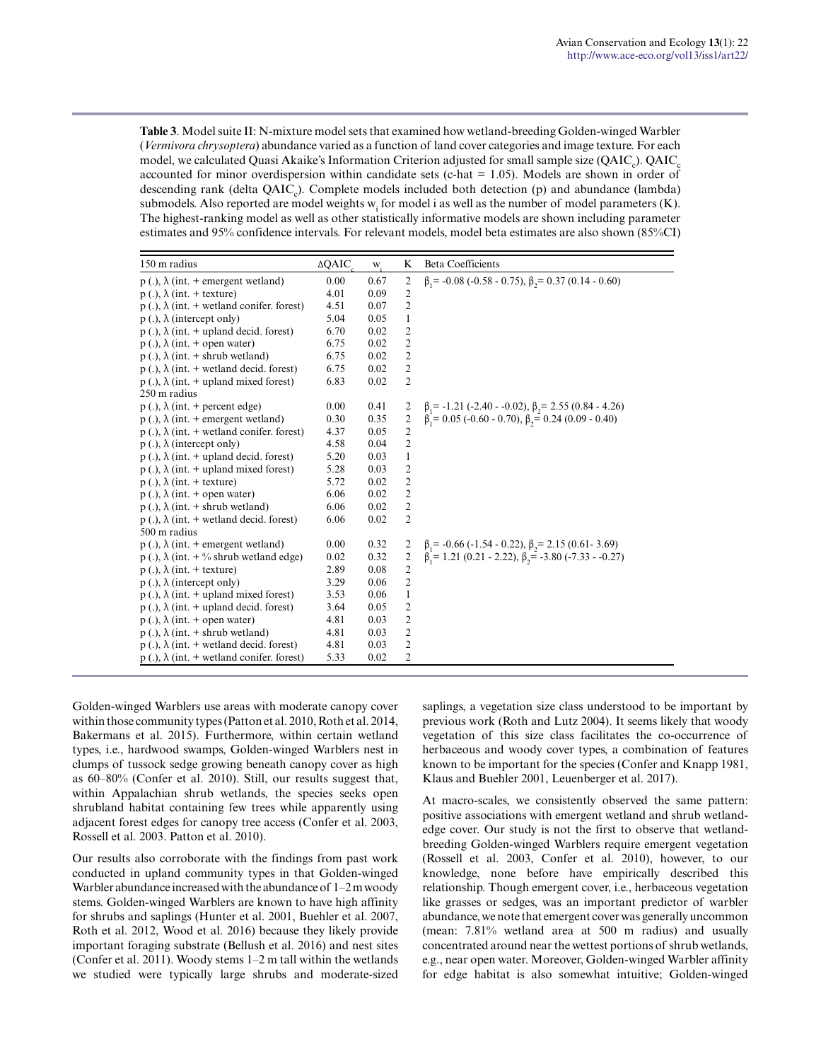**Table 3**. Model suite II: N-mixture model sets that examined how wetland-breeding Golden-winged Warbler (*Vermivora chrysoptera*) abundance varied as a function of land cover categories and image texture. For each model, we calculated Quasi Akaike's Information Criterion adjusted for small sample size (QAIC). QAIC accounted for minor overdispersion within candidate sets (c-hat  $= 1.05$ ). Models are shown in order of descending rank (delta  $QAIC<sub>c</sub>$ ). Complete models included both detection (p) and abundance (lambda) submodels. Also reported are model weights  $w_i$  for model i as well as the number of model parameters (K). The highest-ranking model as well as other statistically informative models are shown including parameter estimates and 95% confidence intervals. For relevant models, model beta estimates are also shown (85%CI)

| 150 m radius                                        | $\triangle$ QAIC | W.   | K              | Beta Coefficients                                                 |
|-----------------------------------------------------|------------------|------|----------------|-------------------------------------------------------------------|
| $p(.)$ , $\lambda$ (int. + emergent wetland)        | 0.00             | 0.67 | $\overline{c}$ | $\beta_1$ = -0.08 (-0.58 - 0.75), $\beta_2$ = 0.37 (0.14 - 0.60)  |
| $p(.)$ , $\lambda$ (int. + texture)                 | 4.01             | 0.09 | 2              |                                                                   |
| $p(.)$ , $\lambda$ (int. + wetland conifer. forest) | 4.51             | 0.07 | $\overline{c}$ |                                                                   |
| $p(.)$ , $\lambda$ (intercept only)                 | 5.04             | 0.05 | 1              |                                                                   |
| $p(.)$ , $\lambda$ (int. + upland decid. forest)    | 6.70             | 0.02 | 2              |                                                                   |
| $p(.)$ , $\lambda$ (int. + open water)              | 6.75             | 0.02 | $\overline{c}$ |                                                                   |
| $p(.)$ , $\lambda$ (int. + shrub wetland)           | 6.75             | 0.02 | 2              |                                                                   |
| $p(.)$ , $\lambda$ (int. + wetland decid. forest)   | 6.75             | 0.02 | 2              |                                                                   |
| $p(.)$ , $\lambda$ (int. + upland mixed forest)     | 6.83             | 0.02 | $\overline{c}$ |                                                                   |
| 250 m radius                                        |                  |      |                |                                                                   |
| $p(.)$ , $\lambda$ (int. + percent edge)            | 0.00             | 0.41 | 2              | $\beta_1$ = -1.21 (-2.40 - -0.02), $\beta_2$ = 2.55 (0.84 - 4.26) |
| $p(.)$ , $\lambda$ (int. + emergent wetland)        | 0.30             | 0.35 | $\overline{c}$ | $\beta_1 = 0.05 (-0.60 - 0.70), \beta_2 = 0.24 (0.09 - 0.40)$     |
| $p(.)$ , $\lambda$ (int. + wetland conifer. forest) | 4.37             | 0.05 | $\overline{2}$ |                                                                   |
| $p(.)$ , $\lambda$ (intercept only)                 | 4.58             | 0.04 | 2              |                                                                   |
| $p(.)$ , $\lambda$ (int. + upland decid. forest)    | 5.20             | 0.03 | 1              |                                                                   |
| $p(.)$ , $\lambda$ (int. + upland mixed forest)     | 5.28             | 0.03 | 2              |                                                                   |
| $p(.)$ , $\lambda$ (int. + texture)                 | 5.72             | 0.02 | $\overline{c}$ |                                                                   |
| $p(.)$ , $\lambda$ (int. + open water)              | 6.06             | 0.02 | 2              |                                                                   |
| $p(.)$ , $\lambda$ (int. + shrub wetland)           | 6.06             | 0.02 | 2              |                                                                   |
| $p(.)$ , $\lambda$ (int. + wetland decid. forest)   | 6.06             | 0.02 | 2              |                                                                   |
| 500 m radius                                        |                  |      |                |                                                                   |
| $p(.)$ , $\lambda$ (int. + emergent wetland)        | 0.00             | 0.32 | 2              | $\beta_1$ = -0.66 (-1.54 - 0.22), $\beta_2$ = 2.15 (0.61 - 3.69)  |
| $p(.)$ , $\lambda$ (int. + % shrub wetland edge)    | 0.02             | 0.32 | 2              | $\beta_1 = 1.21 (0.21 - 2.22), \beta_2 = -3.80 (-7.33 - 0.27)$    |
| $p(.)$ , $\lambda$ (int. + texture)                 | 2.89             | 0.08 | $\overline{2}$ |                                                                   |
| $p(.)$ , $\lambda$ (intercept only)                 | 3.29             | 0.06 | $\overline{c}$ |                                                                   |
| $p(.)$ , $\lambda$ (int. + upland mixed forest)     | 3.53             | 0.06 | 1              |                                                                   |
| $p(.)$ , $\lambda$ (int. + upland decid. forest)    | 3.64             | 0.05 | $\overline{c}$ |                                                                   |
| $p(.)$ , $\lambda$ (int. + open water)              | 4.81             | 0.03 | 2              |                                                                   |
| $p(.)$ , $\lambda$ (int. + shrub wetland)           | 4.81             | 0.03 | $\overline{c}$ |                                                                   |
| $p(.)$ , $\lambda$ (int. + wetland decid. forest)   | 4.81             | 0.03 | $\overline{c}$ |                                                                   |
| $p(.)$ , $\lambda$ (int. + wetland conifer. forest) | 5.33             | 0.02 | 2              |                                                                   |

Golden-winged Warblers use areas with moderate canopy cover within those community types (Patton et al. 2010, Roth et al. 2014, Bakermans et al. 2015). Furthermore, within certain wetland types, i.e., hardwood swamps, Golden-winged Warblers nest in clumps of tussock sedge growing beneath canopy cover as high as 60–80% (Confer et al. 2010). Still, our results suggest that, within Appalachian shrub wetlands, the species seeks open shrubland habitat containing few trees while apparently using adjacent forest edges for canopy tree access (Confer et al. 2003, Rossell et al. 2003. Patton et al. 2010).

Our results also corroborate with the findings from past work conducted in upland community types in that Golden-winged Warbler abundance increased with the abundance of 1–2 m woody stems. Golden-winged Warblers are known to have high affinity for shrubs and saplings (Hunter et al. 2001, Buehler et al. 2007, Roth et al. 2012, Wood et al. 2016) because they likely provide important foraging substrate (Bellush et al. 2016) and nest sites (Confer et al. 2011). Woody stems 1–2 m tall within the wetlands we studied were typically large shrubs and moderate-sized saplings, a vegetation size class understood to be important by previous work (Roth and Lutz 2004). It seems likely that woody vegetation of this size class facilitates the co-occurrence of herbaceous and woody cover types, a combination of features known to be important for the species (Confer and Knapp 1981, Klaus and Buehler 2001, Leuenberger et al. 2017).

At macro-scales, we consistently observed the same pattern: positive associations with emergent wetland and shrub wetlandedge cover. Our study is not the first to observe that wetlandbreeding Golden-winged Warblers require emergent vegetation (Rossell et al. 2003, Confer et al. 2010), however, to our knowledge, none before have empirically described this relationship. Though emergent cover, i.e., herbaceous vegetation like grasses or sedges, was an important predictor of warbler abundance, we note that emergent cover was generally uncommon (mean: 7.81% wetland area at 500 m radius) and usually concentrated around near the wettest portions of shrub wetlands, e.g., near open water. Moreover, Golden-winged Warbler affinity for edge habitat is also somewhat intuitive; Golden-winged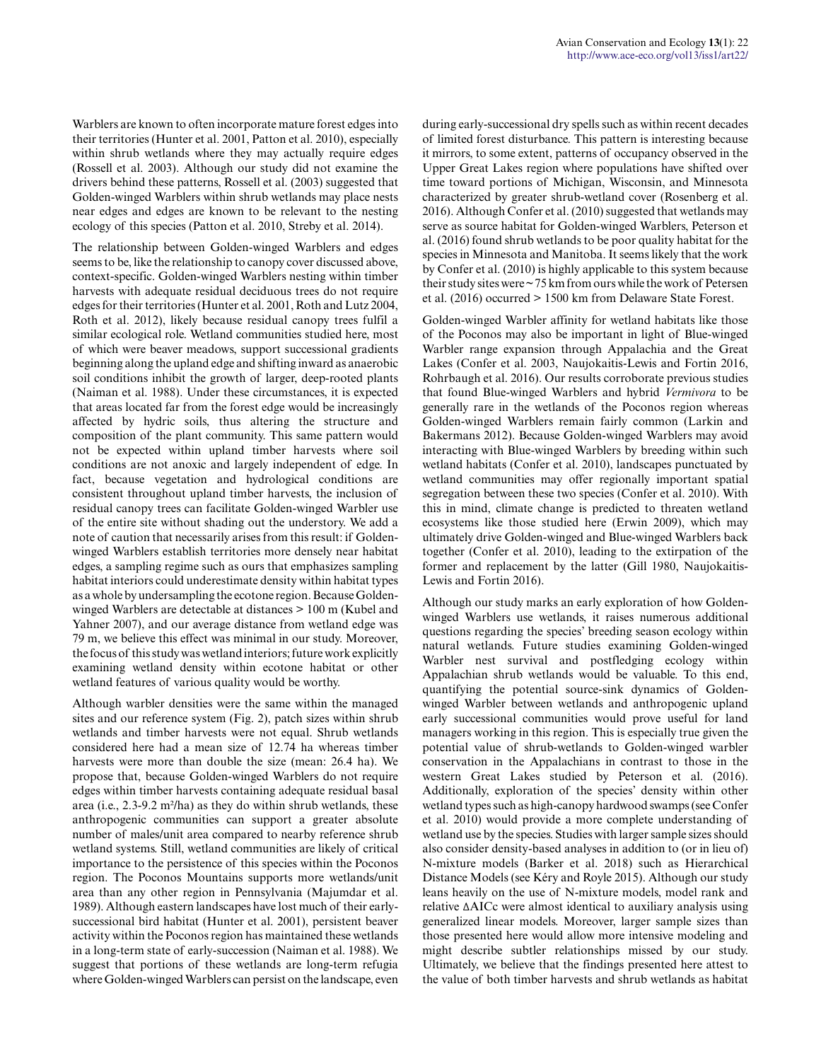Warblers are known to often incorporate mature forest edges into their territories (Hunter et al. 2001, Patton et al. 2010), especially within shrub wetlands where they may actually require edges (Rossell et al. 2003). Although our study did not examine the drivers behind these patterns, Rossell et al. (2003) suggested that Golden-winged Warblers within shrub wetlands may place nests near edges and edges are known to be relevant to the nesting ecology of this species (Patton et al. 2010, Streby et al. 2014).

The relationship between Golden-winged Warblers and edges seems to be, like the relationship to canopy cover discussed above, context-specific. Golden-winged Warblers nesting within timber harvests with adequate residual deciduous trees do not require edges for their territories (Hunter et al. 2001, Roth and Lutz 2004, Roth et al. 2012), likely because residual canopy trees fulfil a similar ecological role. Wetland communities studied here, most of which were beaver meadows, support successional gradients beginning along the upland edge and shifting inward as anaerobic soil conditions inhibit the growth of larger, deep-rooted plants (Naiman et al. 1988). Under these circumstances, it is expected that areas located far from the forest edge would be increasingly affected by hydric soils, thus altering the structure and composition of the plant community. This same pattern would not be expected within upland timber harvests where soil conditions are not anoxic and largely independent of edge. In fact, because vegetation and hydrological conditions are consistent throughout upland timber harvests, the inclusion of residual canopy trees can facilitate Golden-winged Warbler use of the entire site without shading out the understory. We add a note of caution that necessarily arises from this result: if Goldenwinged Warblers establish territories more densely near habitat edges, a sampling regime such as ours that emphasizes sampling habitat interiors could underestimate density within habitat types as a whole by undersampling the ecotone region. Because Goldenwinged Warblers are detectable at distances > 100 m (Kubel and Yahner 2007), and our average distance from wetland edge was 79 m, we believe this effect was minimal in our study. Moreover, the focus of this study was wetland interiors; future work explicitly examining wetland density within ecotone habitat or other wetland features of various quality would be worthy.

Although warbler densities were the same within the managed sites and our reference system (Fig. 2), patch sizes within shrub wetlands and timber harvests were not equal. Shrub wetlands considered here had a mean size of 12.74 ha whereas timber harvests were more than double the size (mean: 26.4 ha). We propose that, because Golden-winged Warblers do not require edges within timber harvests containing adequate residual basal area (i.e., 2.3-9.2 m²/ha) as they do within shrub wetlands, these anthropogenic communities can support a greater absolute number of males/unit area compared to nearby reference shrub wetland systems. Still, wetland communities are likely of critical importance to the persistence of this species within the Poconos region. The Poconos Mountains supports more wetlands/unit area than any other region in Pennsylvania (Majumdar et al. 1989). Although eastern landscapes have lost much of their earlysuccessional bird habitat (Hunter et al. 2001), persistent beaver activity within the Poconos region has maintained these wetlands in a long-term state of early-succession (Naiman et al. 1988). We suggest that portions of these wetlands are long-term refugia where Golden-winged Warblers can persist on the landscape, even during early-successional dry spells such as within recent decades of limited forest disturbance. This pattern is interesting because it mirrors, to some extent, patterns of occupancy observed in the Upper Great Lakes region where populations have shifted over time toward portions of Michigan, Wisconsin, and Minnesota characterized by greater shrub-wetland cover (Rosenberg et al. 2016). Although Confer et al. (2010) suggested that wetlands may serve as source habitat for Golden-winged Warblers, Peterson et al. (2016) found shrub wetlands to be poor quality habitat for the species in Minnesota and Manitoba. It seems likely that the work by Confer et al. (2010) is highly applicable to this system because their study sites were ~ 75 km from ours while the work of Petersen et al. (2016) occurred > 1500 km from Delaware State Forest.

Golden-winged Warbler affinity for wetland habitats like those of the Poconos may also be important in light of Blue-winged Warbler range expansion through Appalachia and the Great Lakes (Confer et al. 2003, Naujokaitis-Lewis and Fortin 2016, Rohrbaugh et al. 2016). Our results corroborate previous studies that found Blue-winged Warblers and hybrid *Vermivora* to be generally rare in the wetlands of the Poconos region whereas Golden-winged Warblers remain fairly common (Larkin and Bakermans 2012). Because Golden-winged Warblers may avoid interacting with Blue-winged Warblers by breeding within such wetland habitats (Confer et al. 2010), landscapes punctuated by wetland communities may offer regionally important spatial segregation between these two species (Confer et al. 2010). With this in mind, climate change is predicted to threaten wetland ecosystems like those studied here (Erwin 2009), which may ultimately drive Golden-winged and Blue-winged Warblers back together (Confer et al. 2010), leading to the extirpation of the former and replacement by the latter (Gill 1980, Naujokaitis-Lewis and Fortin 2016).

Although our study marks an early exploration of how Goldenwinged Warblers use wetlands, it raises numerous additional questions regarding the species' breeding season ecology within natural wetlands. Future studies examining Golden-winged Warbler nest survival and postfledging ecology within Appalachian shrub wetlands would be valuable. To this end, quantifying the potential source-sink dynamics of Goldenwinged Warbler between wetlands and anthropogenic upland early successional communities would prove useful for land managers working in this region. This is especially true given the potential value of shrub-wetlands to Golden-winged warbler conservation in the Appalachians in contrast to those in the western Great Lakes studied by Peterson et al. (2016). Additionally, exploration of the species' density within other wetland types such as high-canopy hardwood swamps (see Confer et al. 2010) would provide a more complete understanding of wetland use by the species. Studies with larger sample sizes should also consider density-based analyses in addition to (or in lieu of) N-mixture models (Barker et al. 2018) such as Hierarchical Distance Models (see Kéry and Royle 2015). Although our study leans heavily on the use of N-mixture models, model rank and relative ΔAICc were almost identical to auxiliary analysis using generalized linear models. Moreover, larger sample sizes than those presented here would allow more intensive modeling and might describe subtler relationships missed by our study. Ultimately, we believe that the findings presented here attest to the value of both timber harvests and shrub wetlands as habitat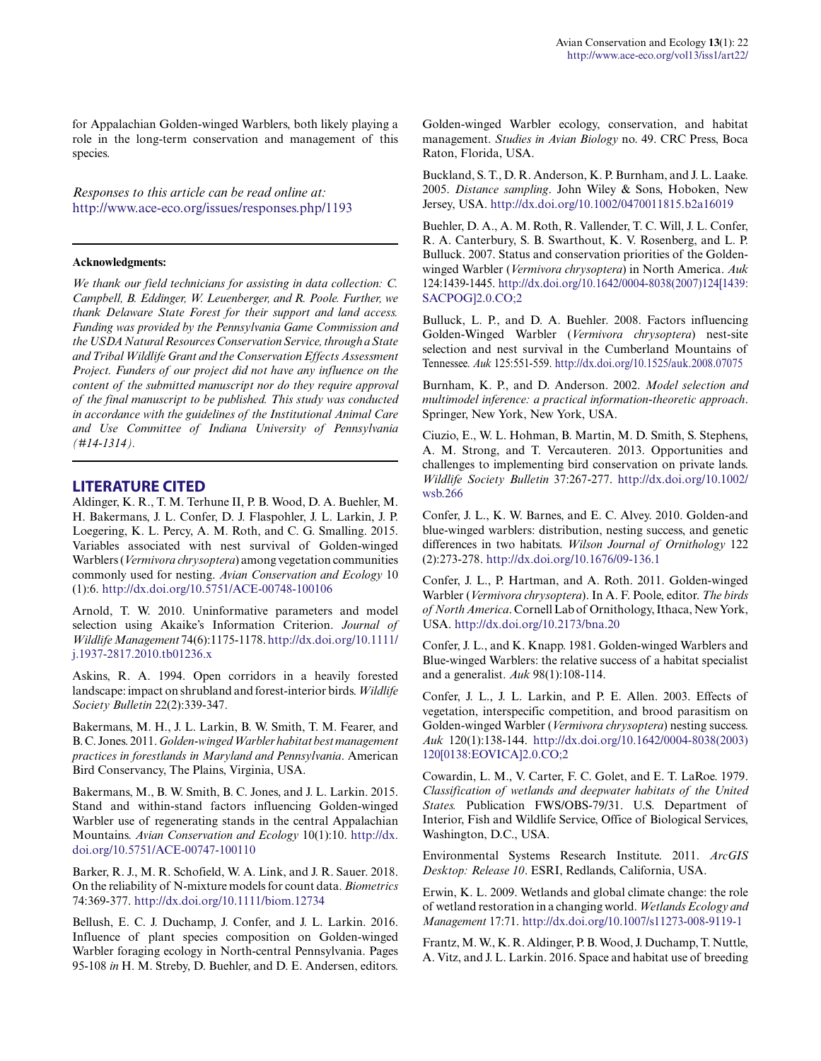for Appalachian Golden-winged Warblers, both likely playing a role in the long-term conservation and management of this species.

*Responses to this article can be read online at:* <http://www.ace-eco.org/issues/responses.php/1193>

#### **Acknowledgments:**

*We thank our field technicians for assisting in data collection: C. Campbell, B. Eddinger, W. Leuenberger, and R. Poole. Further, we thank Delaware State Forest for their support and land access. Funding was provided by the Pennsylvania Game Commission and the USDA Natural Resources Conservation Service, through a State and Tribal Wildlife Grant and the Conservation Effects Assessment Project. Funders of our project did not have any influence on the content of the submitted manuscript nor do they require approval of the final manuscript to be published. This study was conducted in accordance with the guidelines of the Institutional Animal Care and Use Committee of Indiana University of Pennsylvania (#14-1314).*

#### **LITERATURE CITED**

Aldinger, K. R., T. M. Terhune II, P. B. Wood, D. A. Buehler, M. H. Bakermans, J. L. Confer, D. J. Flaspohler, J. L. Larkin, J. P. Loegering, K. L. Percy, A. M. Roth, and C. G. Smalling. 2015. Variables associated with nest survival of Golden-winged Warblers (*Vermivora chrysoptera*) among vegetation communities commonly used for nesting. *Avian Conservation and Ecology* 10 (1):6. [http://dx.doi.org/10.5751/ACE-00748-100106](http://dx.doi.org/10.5751%2FACE-00748-100106) 

Arnold, T. W. 2010. Uninformative parameters and model selection using Akaike's Information Criterion. *Journal of Wildlife Management* 74(6):1175-1178. [http://dx.doi.org/10.1111/](http://dx.doi.org/10.1111%2Fj.1937-2817.2010.tb01236.x) [j.1937-2817.2010.tb01236.x](http://dx.doi.org/10.1111%2Fj.1937-2817.2010.tb01236.x)

Askins, R. A. 1994. Open corridors in a heavily forested landscape: impact on shrubland and forest-interior birds. *Wildlife Society Bulletin* 22(2):339-347.

Bakermans, M. H., J. L. Larkin, B. W. Smith, T. M. Fearer, and B. C. Jones. 2011. *Golden-winged Warbler habitat best management practices in forestlands in Maryland and Pennsylvania*. American Bird Conservancy, The Plains, Virginia, USA.

Bakermans, M., B. W. Smith, B. C. Jones, and J. L. Larkin. 2015. Stand and within-stand factors influencing Golden-winged Warbler use of regenerating stands in the central Appalachian Mountains. *Avian Conservation and Ecology* 10(1):10. [http://dx.](http://dx.doi.org/10.5751%2FACE-00747-100110) [doi.org/10.5751/ACE-00747-100110](http://dx.doi.org/10.5751%2FACE-00747-100110) 

Barker, R. J., M. R. Schofield, W. A. Link, and J. R. Sauer. 2018. On the reliability of N-mixture models for count data. *Biometrics* 74:369-377.<http://dx.doi.org/10.1111/biom.12734>

Bellush, E. C. J. Duchamp, J. Confer, and J. L. Larkin. 2016. Influence of plant species composition on Golden-winged Warbler foraging ecology in North-central Pennsylvania. Pages 95-108 *in* H. M. Streby, D. Buehler, and D. E. Andersen, editors. Golden-winged Warbler ecology, conservation, and habitat management. *Studies in Avian Biology* no. 49. CRC Press, Boca Raton, Florida, USA.

Buckland, S. T., D. R. Anderson, K. P. Burnham, and J. L. Laake. 2005. *Distance sampling*. John Wiley & Sons, Hoboken, New Jersey, USA. [http://dx.doi.org/10.1002/0470011815.b2a16019](http://dx.doi.org/10.1002%2F0470011815.b2a16019)

Buehler, D. A., A. M. Roth, R. Vallender, T. C. Will, J. L. Confer, R. A. Canterbury, S. B. Swarthout, K. V. Rosenberg, and L. P. Bulluck. 2007. Status and conservation priorities of the Goldenwinged Warbler (*Vermivora chrysoptera*) in North America. *Auk* 124:1439-1445. [http://dx.doi.org/10.1642/0004-8038\(2007\)124\[1439:](http://dx.doi.org/10.1642%2F0004-8038%282007%29124%5B1439%3ASACPOG%5D2.0.CO%3B2) [SACPOG\]2.0.CO;2](http://dx.doi.org/10.1642%2F0004-8038%282007%29124%5B1439%3ASACPOG%5D2.0.CO%3B2)

Bulluck, L. P., and D. A. Buehler. 2008. Factors influencing Golden-Winged Warbler (*Vermivora chrysoptera*) nest-site selection and nest survival in the Cumberland Mountains of Tennessee. *Auk* 125:551-559. [http://dx.doi.org/10.1525/auk.2008.07075](http://dx.doi.org/10.1525%2Fauk.2008.07075) 

Burnham, K. P., and D. Anderson. 2002. *Model selection and multimodel inference: a practical information-theoretic approach*. Springer, New York, New York, USA.

Ciuzio, E., W. L. Hohman, B. Martin, M. D. Smith, S. Stephens, A. M. Strong, and T. Vercauteren. 2013. Opportunities and challenges to implementing bird conservation on private lands. *Wildlife Society Bulletin* 37:267-277. [http://dx.doi.org/10.1002/](http://dx.doi.org/10.1002%2Fwsb.266) [wsb.266](http://dx.doi.org/10.1002%2Fwsb.266)

Confer, J. L., K. W. Barnes, and E. C. Alvey. 2010. Golden-and blue-winged warblers: distribution, nesting success, and genetic differences in two habitats. *Wilson Journal of Ornithology* 122 (2):273-278. [http://dx.doi.org/10.1676/09-136.1](http://dx.doi.org/10.1676%2F09-136.1)

Confer, J. L., P. Hartman, and A. Roth. 2011. Golden-winged Warbler (*Vermivora chrysoptera*). In A. F. Poole, editor. *The birds of North America*. Cornell Lab of Ornithology, Ithaca, New York, USA. [http://dx.doi.org/10.2173/bna.20](http://dx.doi.org/10.2173%2Fbna.20)

Confer, J. L., and K. Knapp. 1981. Golden-winged Warblers and Blue-winged Warblers: the relative success of a habitat specialist and a generalist. *Auk* 98(1):108-114.

Confer, J. L., J. L. Larkin, and P. E. Allen. 2003. Effects of vegetation, interspecific competition, and brood parasitism on Golden-winged Warbler (*Vermivora chrysoptera*) nesting success. *Auk* 120(1):138-144. [http://dx.doi.org/10.1642/0004-8038\(2003\)](http://dx.doi.org/10.1642%2F0004-8038%282003%29120%5B0138%3AEOVICA%5D2.0.CO%3B2) [120\[0138:EOVICA\]2.0.CO;2](http://dx.doi.org/10.1642%2F0004-8038%282003%29120%5B0138%3AEOVICA%5D2.0.CO%3B2) 

Cowardin, L. M., V. Carter, F. C. Golet, and E. T. LaRoe. 1979. *Classification of wetlands and deepwater habitats of the United States.* Publication FWS/OBS-79/31. U.S. Department of Interior, Fish and Wildlife Service, Office of Biological Services, Washington, D.C., USA.

Environmental Systems Research Institute. 2011. *ArcGIS Desktop: Release 10*. ESRI, Redlands, California, USA.

Erwin, K. L. 2009. Wetlands and global climate change: the role of wetland restoration in a changing world. *Wetlands Ecology and Management* 17:71. [http://dx.doi.org/10.1007/s11273-008-9119-1](http://dx.doi.org/10.1007%2Fs11273-008-9119-1) 

Frantz, M. W., K. R. Aldinger, P. B. Wood, J. Duchamp, T. Nuttle, A. Vitz, and J. L. Larkin. 2016. Space and habitat use of breeding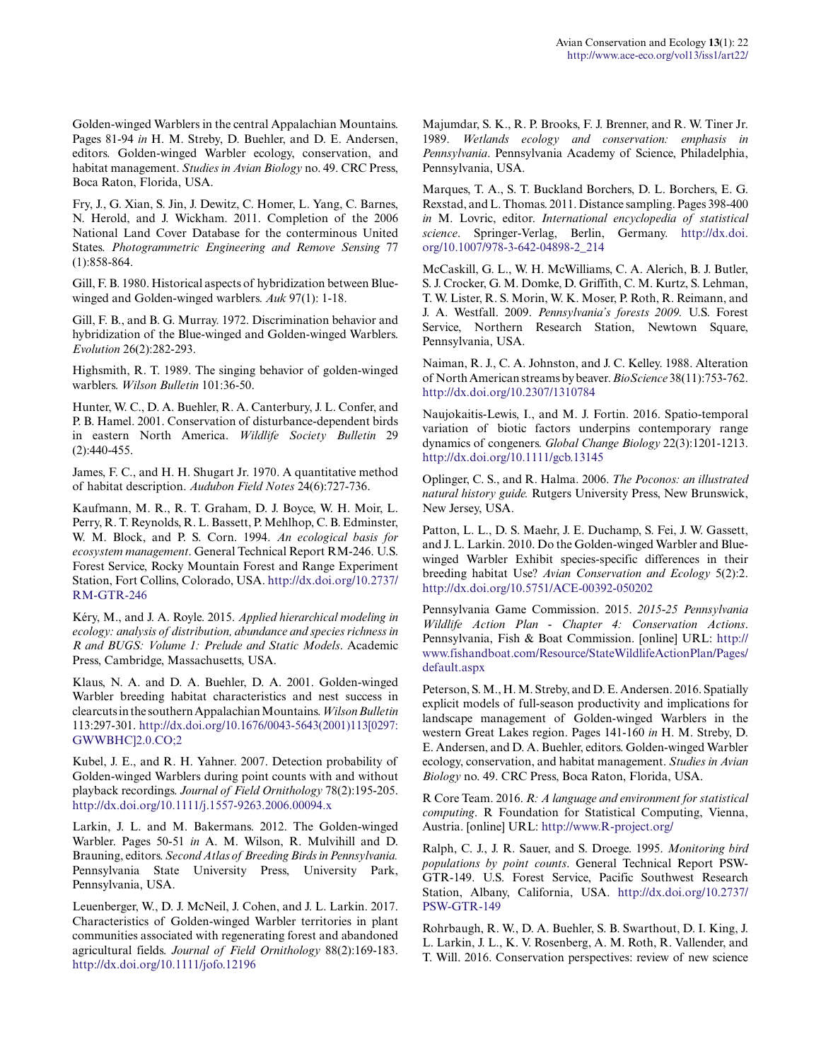Golden-winged Warblers in the central Appalachian Mountains. Pages 81-94 *in* H. M. Streby, D. Buehler, and D. E. Andersen, editors. Golden-winged Warbler ecology, conservation, and habitat management. *Studies in Avian Biology* no. 49. CRC Press, Boca Raton, Florida, USA.

Fry, J., G. Xian, S. Jin, J. Dewitz, C. Homer, L. Yang, C. Barnes, N. Herold, and J. Wickham. 2011. Completion of the 2006 National Land Cover Database for the conterminous United States. *Photogrammetric Engineering and Remove Sensing* 77 (1):858-864.

Gill, F. B. 1980. Historical aspects of hybridization between Bluewinged and Golden-winged warblers. *Auk* 97(1): 1-18.

Gill, F. B., and B. G. Murray. 1972. Discrimination behavior and hybridization of the Blue-winged and Golden‐winged Warblers. *Evolution* 26(2):282-293.

Highsmith, R. T. 1989. The singing behavior of golden-winged warblers. *Wilson Bulletin* 101:36-50.

Hunter, W. C., D. A. Buehler, R. A. Canterbury, J. L. Confer, and P. B. Hamel. 2001. Conservation of disturbance-dependent birds in eastern North America. *Wildlife Society Bulletin* 29 (2):440-455.

James, F. C., and H. H. Shugart Jr. 1970. A quantitative method of habitat description. *Audubon Field Notes* 24(6):727-736.

Kaufmann, M. R., R. T. Graham, D. J. Boyce, W. H. Moir, L. Perry, R. T. Reynolds, R. L. Bassett, P. Mehlhop, C. B. Edminster, W. M. Block, and P. S. Corn. 1994. *An ecological basis for ecosystem management*. General Technical Report RM-246. U.S. Forest Service, Rocky Mountain Forest and Range Experiment Station, Fort Collins, Colorado, USA. [http://dx.doi.org/10.2737/](http://dx.doi.org/10.2737%2FRM-GTR-246) [RM-GTR-246](http://dx.doi.org/10.2737%2FRM-GTR-246) 

Kéry, M., and J. A. Royle. 2015. *Applied hierarchical modeling in ecology: analysis of distribution, abundance and species richness in R and BUGS: Volume 1: Prelude and Static Models*. Academic Press, Cambridge, Massachusetts, USA.

Klaus, N. A. and D. A. Buehler, D. A. 2001. Golden-winged Warbler breeding habitat characteristics and nest success in clearcuts in the southern Appalachian Mountains. *Wilson Bulletin* 113:297-301. [http://dx.doi.org/10.1676/0043-5643\(2001\)113\[0297:](http://dx.doi.org/10.1676%2F0043-5643%282001%29113%5B0297%3AGWWBHC%5D2.0.CO%3B2) [GWWBHC\]2.0.CO;2](http://dx.doi.org/10.1676%2F0043-5643%282001%29113%5B0297%3AGWWBHC%5D2.0.CO%3B2) 

Kubel, J. E., and R. H. Yahner. 2007. Detection probability of Golden-winged Warblers during point counts with and without playback recordings. *Journal of Field Ornithology* 78(2):195-205. [http://dx.doi.org/10.1111/j.1557-9263.2006.00094.x](http://dx.doi.org/10.1111%2Fj.1557-9263.2006.00094.x) 

Larkin, J. L. and M. Bakermans. 2012. The Golden-winged Warbler. Pages 50-51 *in* A. M. Wilson, R. Mulvihill and D. Brauning, editors. *Second Atlas of Breeding Birds in Pennsylvania.* Pennsylvania State University Press, University Park, Pennsylvania, USA.

Leuenberger, W., D. J. McNeil, J. Cohen, and J. L. Larkin. 2017. Characteristics of Golden-winged Warbler territories in plant communities associated with regenerating forest and abandoned agricultural fields. *Journal of Field Ornithology* 88(2):169-183. [http://dx.doi.org/10.1111/jofo.12196](http://dx.doi.org/10.1111%2Fjofo.12196) 

Majumdar, S. K., R. P. Brooks, F. J. Brenner, and R. W. Tiner Jr. 1989. *Wetlands ecology and conservation: emphasis in Pennsylvania*. Pennsylvania Academy of Science, Philadelphia, Pennsylvania, USA.

Marques, T. A., S. T. Buckland Borchers, D. L. Borchers, E. G. Rexstad, and L. Thomas. 2011. Distance sampling. Pages 398-400 *in* M. Lovric, editor. *International encyclopedia of statistical science*. Springer-Verlag, Berlin, Germany. [http://dx.doi.](http://dx.doi.org/10.1007%2F978-3-642-04898-2_214) [org/10.1007/978-3-642-04898-2\\_214](http://dx.doi.org/10.1007%2F978-3-642-04898-2_214) 

McCaskill, G. L., W. H. McWilliams, C. A. Alerich, B. J. Butler, S. J. Crocker, G. M. Domke, D. Griffith, C. M. Kurtz, S. Lehman, T. W. Lister, R. S. Morin, W. K. Moser, P. Roth, R. Reimann, and J. A. Westfall. 2009. *Pennsylvania's forests 2009.* U.S. Forest Service, Northern Research Station, Newtown Square, Pennsylvania, USA.

Naiman, R. J., C. A. Johnston, and J. C. Kelley. 1988. Alteration of North American streams by beaver. *BioScience* 38(11):753-762. [http://dx.doi.org/10.2307/1310784](http://dx.doi.org/10.2307%2F1310784) 

Naujokaitis-Lewis, I., and M. J. Fortin. 2016. Spatio-temporal variation of biotic factors underpins contemporary range dynamics of congeners. *Global Change Biology* 22(3):1201-1213. [http://dx.doi.org/10.1111/gcb.13145](http://dx.doi.org/10.1111%2Fgcb.13145)

Oplinger, C. S., and R. Halma. 2006. *The Poconos: an illustrated natural history guide.* Rutgers University Press, New Brunswick, New Jersey, USA.

Patton, L. L., D. S. Maehr, J. E. Duchamp, S. Fei, J. W. Gassett, and J. L. Larkin. 2010. Do the Golden-winged Warbler and Bluewinged Warbler Exhibit species-specific differences in their breeding habitat Use? *Avian Conservation and Ecology* 5(2):2. [http://dx.doi.org/10.5751/ACE-00392-050202](http://dx.doi.org/10.5751%2FACE-00392-050202) 

Pennsylvania Game Commission. 2015. *2015-25 Pennsylvania Wildlife Action Plan - Chapter 4: Conservation Actions*. Pennsylvania, Fish & Boat Commission. [online] URL: [http://](http://www.fishandboat.com/Resource/StateWildlifeActionPlan/Pages/default.aspx) [www.fishandboat.com/Resource/StateWildlifeActionPlan/Pages/](http://www.fishandboat.com/Resource/StateWildlifeActionPlan/Pages/default.aspx) [default.aspx](http://www.fishandboat.com/Resource/StateWildlifeActionPlan/Pages/default.aspx) 

Peterson, S. M., H. M. Streby, and D. E. Andersen. 2016. Spatially explicit models of full-season productivity and implications for landscape management of Golden-winged Warblers in the western Great Lakes region. Pages 141-160 *in* H. M. Streby, D. E. Andersen, and D. A. Buehler, editors. Golden-winged Warbler ecology, conservation, and habitat management. *Studies in Avian Biology* no. 49. CRC Press, Boca Raton, Florida, USA.

R Core Team. 2016. *R: A language and environment for statistical computing*. R Foundation for Statistical Computing, Vienna, Austria. [online] URL: [http://www.R-project.org/](http://www.R-project.org/.)

Ralph, C. J., J. R. Sauer, and S. Droege. 1995. *Monitoring bird populations by point counts*. General Technical Report PSW-GTR-149. U.S. Forest Service, Pacific Southwest Research Station, Albany, California, USA. [http://dx.doi.org/10.2737/](http://dx.doi.org/10.2737%2FPSW-GTR-149) [PSW-GTR-149](http://dx.doi.org/10.2737%2FPSW-GTR-149) 

Rohrbaugh, R. W., D. A. Buehler, S. B. Swarthout, D. I. King, J. L. Larkin, J. L., K. V. Rosenberg, A. M. Roth, R. Vallender, and T. Will. 2016. Conservation perspectives: review of new science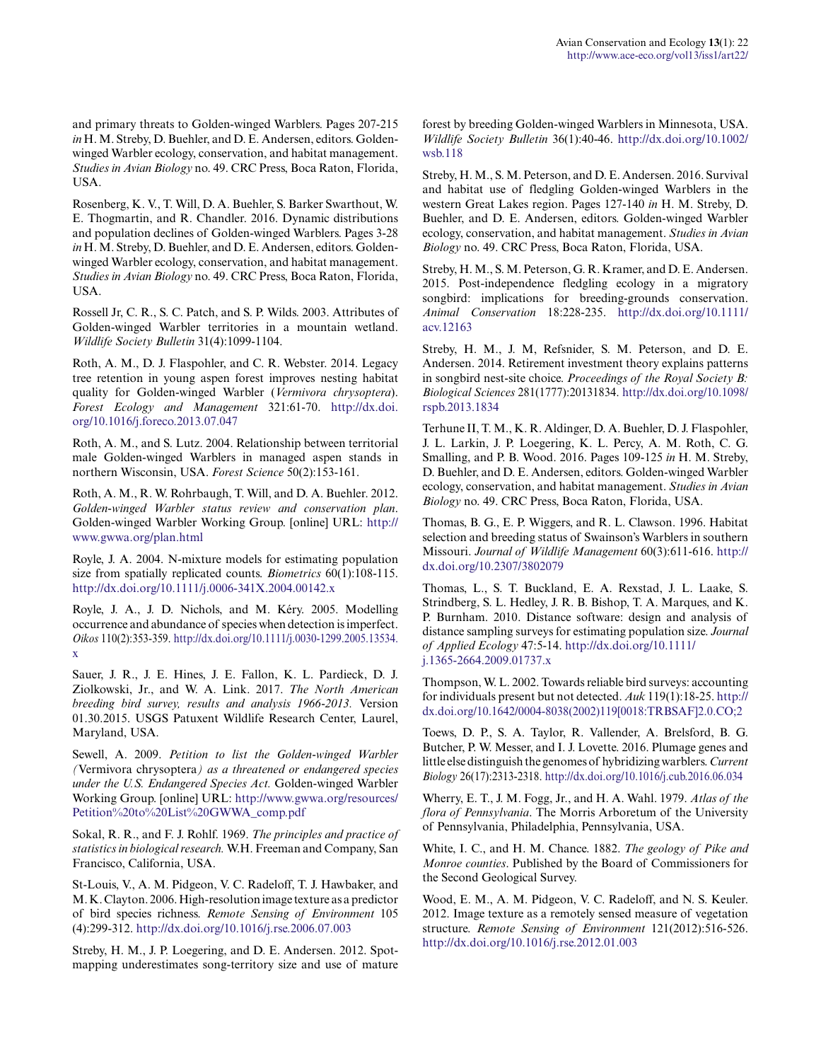and primary threats to Golden-winged Warblers. Pages 207-215 *in* H. M. Streby, D. Buehler, and D. E. Andersen, editors. Goldenwinged Warbler ecology, conservation, and habitat management. *Studies in Avian Biology* no. 49. CRC Press, Boca Raton, Florida, USA.

Rosenberg, K. V., T. Will, D. A. Buehler, S. Barker Swarthout, W. E. Thogmartin, and R. Chandler. 2016. Dynamic distributions and population declines of Golden-winged Warblers. Pages 3-28 *in* H. M. Streby, D. Buehler, and D. E. Andersen, editors. Goldenwinged Warbler ecology, conservation, and habitat management. *Studies in Avian Biology* no. 49. CRC Press, Boca Raton, Florida, USA.

Rossell Jr, C. R., S. C. Patch, and S. P. Wilds. 2003. Attributes of Golden-winged Warbler territories in a mountain wetland. *Wildlife Society Bulletin* 31(4):1099-1104.

Roth, A. M., D. J. Flaspohler, and C. R. Webster. 2014. Legacy tree retention in young aspen forest improves nesting habitat quality for Golden-winged Warbler (*Vermivora chrysoptera*). *Forest Ecology and Management* 321:61-70. [http://dx.doi.](http://dx.doi.org/10.1016%2Fj.foreco.2013.07.047) [org/10.1016/j.foreco.2013.07.047](http://dx.doi.org/10.1016%2Fj.foreco.2013.07.047)

Roth, A. M., and S. Lutz. 2004. Relationship between territorial male Golden-winged Warblers in managed aspen stands in northern Wisconsin, USA. *Forest Science* 50(2):153-161.

Roth, A. M., R. W. Rohrbaugh, T. Will, and D. A. Buehler. 2012. *Golden-winged Warbler status review and conservation plan*. Golden-winged Warbler Working Group. [online] URL: [http://](http://www.gwwa.org/plan.html) [www.gwwa.org/plan.html](http://www.gwwa.org/plan.html)

Royle, J. A. 2004. N-mixture models for estimating population size from spatially replicated counts. *Biometrics* 60(1):108-115. [http://dx.doi.org/10.1111/j.0006-341X.2004.00142.x](http://dx.doi.org/10.1111%2Fj.0006-341X.2004.00142.x) 

Royle, J. A., J. D. Nichols, and M. Kéry. 2005. Modelling occurrence and abundance of species when detection is imperfect. *Oikos* 110(2):353-359. [http://dx.doi.org/10.1111/j.0030-1299.2005.13534.](http://dx.doi.org/10.1111%2Fj.0030-1299.2005.13534.x) [x](http://dx.doi.org/10.1111%2Fj.0030-1299.2005.13534.x)

Sauer, J. R., J. E. Hines, J. E. Fallon, K. L. Pardieck, D. J. Ziolkowski, Jr., and W. A. Link. 2017. *The North American breeding bird survey, results and analysis 1966-2013.* Version 01.30.2015. USGS Patuxent Wildlife Research Center, Laurel, Maryland, USA.

Sewell, A. 2009. *Petition to list the Golden-winged Warbler (*Vermivora chrysoptera*) as a threatened or endangered species under the U.S. Endangered Species Act.* Golden-winged Warbler Working Group. [online] URL: [http://www.gwwa.org/resources/](http://www.gwwa.org/resources/Petition%20to%20List%20GWWA_comp.pdf) [Petition%20to%20List%20GWWA\\_comp.pdf](http://www.gwwa.org/resources/Petition%20to%20List%20GWWA_comp.pdf)

Sokal, R. R., and F. J. Rohlf. 1969. *The principles and practice of statistics in biological research.* W.H. Freeman and Company, San Francisco, California, USA.

St-Louis, V., A. M. Pidgeon, V. C. Radeloff, T. J. Hawbaker, and M. K. Clayton. 2006. High-resolution image texture as a predictor of bird species richness. *Remote Sensing of Environment* 105 (4):299-312. [http://dx.doi.org/10.1016/j.rse.2006.07.003](http://dx.doi.org/10.1016%2Fj.rse.2006.07.003)

Streby, H. M., J. P. Loegering, and D. E. Andersen. 2012. Spotmapping underestimates song-territory size and use of mature forest by breeding Golden-winged Warblers in Minnesota, USA. *Wildlife Society Bulletin* 36(1):40-46. [http://dx.doi.org/10.1002/](http://dx.doi.org/10.1002%2Fwsb.118) [wsb.118](http://dx.doi.org/10.1002%2Fwsb.118)

Streby, H. M., S. M. Peterson, and D. E. Andersen. 2016. Survival and habitat use of fledgling Golden-winged Warblers in the western Great Lakes region. Pages 127-140 *in* H. M. Streby, D. Buehler, and D. E. Andersen, editors. Golden-winged Warbler ecology, conservation, and habitat management. *Studies in Avian Biology* no. 49. CRC Press, Boca Raton, Florida, USA.

Streby, H. M., S. M. Peterson, G. R. Kramer, and D. E. Andersen. 2015. Post-independence fledgling ecology in a migratory songbird: implications for breeding-grounds conservation. *Animal Conservation* 18:228-235. [http://dx.doi.org/10.1111/](http://dx.doi.org/10.1111%2Facv.12163) [acv.12163](http://dx.doi.org/10.1111%2Facv.12163)

Streby, H. M., J. M, Refsnider, S. M. Peterson, and D. E. Andersen. 2014. Retirement investment theory explains patterns in songbird nest-site choice. *Proceedings of the Royal Society B: Biological Sciences* 281(1777):20131834. [http://dx.doi.org/10.1098/](http://dx.doi.org/10.1098%2Frspb.2013.1834) [rspb.2013.1834](http://dx.doi.org/10.1098%2Frspb.2013.1834)

Terhune II, T. M., K. R. Aldinger, D. A. Buehler, D. J. Flaspohler, J. L. Larkin, J. P. Loegering, K. L. Percy, A. M. Roth, C. G. Smalling, and P. B. Wood. 2016. Pages 109-125 *in* H. M. Streby, D. Buehler, and D. E. Andersen, editors. Golden-winged Warbler ecology, conservation, and habitat management. *Studies in Avian Biology* no. 49. CRC Press, Boca Raton, Florida, USA.

Thomas, B. G., E. P. Wiggers, and R. L. Clawson. 1996. Habitat selection and breeding status of Swainson's Warblers in southern Missouri. *Journal of Wildlife Management* 60(3):611-616. [http://](http://dx.doi.org/10.2307%2F3802079) [dx.doi.org/10.2307/3802079](http://dx.doi.org/10.2307%2F3802079)

Thomas, L., S. T. Buckland, E. A. Rexstad, J. L. Laake, S. Strindberg, S. L. Hedley, J. R. B. Bishop, T. A. Marques, and K. P. Burnham. 2010. Distance software: design and analysis of distance sampling surveys for estimating population size. *Journal of Applied Ecology* 47:5-14. [http://dx.doi.org/10.1111/](http://dx.doi.org/10.1111%2Fj.1365-2664.2009.01737.x) [j.1365-2664.2009.01737.x](http://dx.doi.org/10.1111%2Fj.1365-2664.2009.01737.x)

Thompson, W. L. 2002. Towards reliable bird surveys: accounting for individuals present but not detected. *Auk* 119(1):18-25. [http://](http://dx.doi.org/10.1642%2F0004-8038%282002%29119%5B0018%3ATRBSAF%5D2.0.CO%3B2) [dx.doi.org/10.1642/0004-8038\(2002\)119\[0018:TRBSAF\]2.0.CO;2](http://dx.doi.org/10.1642%2F0004-8038%282002%29119%5B0018%3ATRBSAF%5D2.0.CO%3B2) 

Toews, D. P., S. A. Taylor, R. Vallender, A. Brelsford, B. G. Butcher, P. W. Messer, and I. J. Lovette. 2016. Plumage genes and little else distinguish the genomes of hybridizing warblers. *Current Biology* 26(17):2313-2318. [http://dx.doi.org/10.1016/j.cub.2016.06.034](http://dx.doi.org/10.1016%2Fj.cub.2016.06.034) 

Wherry, E. T., J. M. Fogg, Jr., and H. A. Wahl. 1979. *Atlas of the flora of Pennsylvania*. The Morris Arboretum of the University of Pennsylvania, Philadelphia, Pennsylvania, USA.

White, I. C., and H. M. Chance. 1882. *The geology of Pike and Monroe counties*. Published by the Board of Commissioners for the Second Geological Survey.

Wood, E. M., A. M. Pidgeon, V. C. Radeloff, and N. S. Keuler. 2012. Image texture as a remotely sensed measure of vegetation structure. *Remote Sensing of Environment* 121(2012):516-526. [http://dx.doi.org/10.1016/j.rse.2012.01.003](http://dx.doi.org/10.1016%2Fj.rse.2012.01.003)